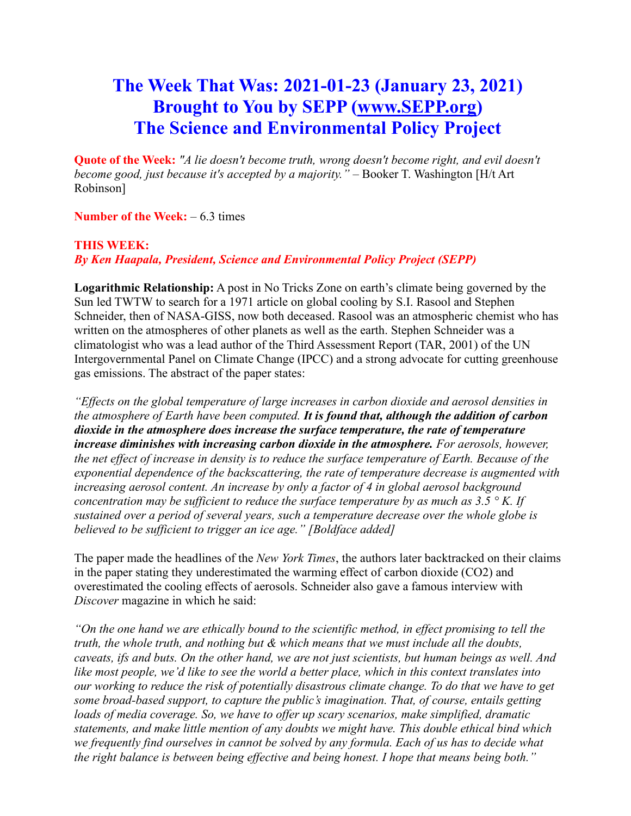# **The Week That Was: 2021-01-23 (January 23, 2021) Brought to You by SEPP [\(www.SEPP.org\)](http://www.sepp.org/) The Science and Environmental Policy Project**

**Quote of the Week:** *"A lie doesn't become truth, wrong doesn't become right, and evil doesn't become good, just because it's accepted by a majority." –* Booker T. Washington [H/t Art Robinson]

**Number of the Week:** – 6.3 times

### **THIS WEEK:**

*By Ken Haapala, President, Science and Environmental Policy Project (SEPP)*

**Logarithmic Relationship:** A post in No Tricks Zone on earth's climate being governed by the Sun led TWTW to search for a 1971 article on global cooling by S.I. Rasool and Stephen Schneider, then of NASA-GISS, now both deceased. Rasool was an atmospheric chemist who has written on the atmospheres of other planets as well as the earth. Stephen Schneider was a climatologist who was a lead author of the Third Assessment Report (TAR, 2001) of the UN Intergovernmental Panel on Climate Change (IPCC) and a strong advocate for cutting greenhouse gas emissions. The abstract of the paper states:

*"Effects on the global temperature of large increases in carbon dioxide and aerosol densities in the atmosphere of Earth have been computed. It is found that, although the addition of carbon dioxide in the atmosphere does increase the surface temperature, the rate of temperature increase diminishes with increasing carbon dioxide in the atmosphere. For aerosols, however, the net effect of increase in density is to reduce the surface temperature of Earth. Because of the exponential dependence of the backscattering, the rate of temperature decrease is augmented with increasing aerosol content. An increase by only a factor of 4 in global aerosol background concentration may be sufficient to reduce the surface temperature by as much as 3.5 ° K. If sustained over a period of several years, such a temperature decrease over the whole globe is believed to be sufficient to trigger an ice age." [Boldface added]*

The paper made the headlines of the *New York Times*, the authors later backtracked on their claims in the paper stating they underestimated the warming effect of carbon dioxide (CO2) and overestimated the cooling effects of aerosols. Schneider also gave a famous interview with *Discover* magazine in which he said:

*"On the one hand we are ethically bound to the scientific method, in effect promising to tell the truth, the whole truth, and nothing but & which means that we must include all the doubts, caveats, ifs and buts. On the other hand, we are not just scientists, but human beings as well. And like most people, we'd like to see the world a better place, which in this context translates into our working to reduce the risk of potentially disastrous climate change. To do that we have to get some broad-based support, to capture the public's imagination. That, of course, entails getting loads of media coverage. So, we have to offer up scary scenarios, make simplified, dramatic statements, and make little mention of any doubts we might have. This double ethical bind which we frequently find ourselves in cannot be solved by any formula. Each of us has to decide what the right balance is between being effective and being honest. I hope that means being both."*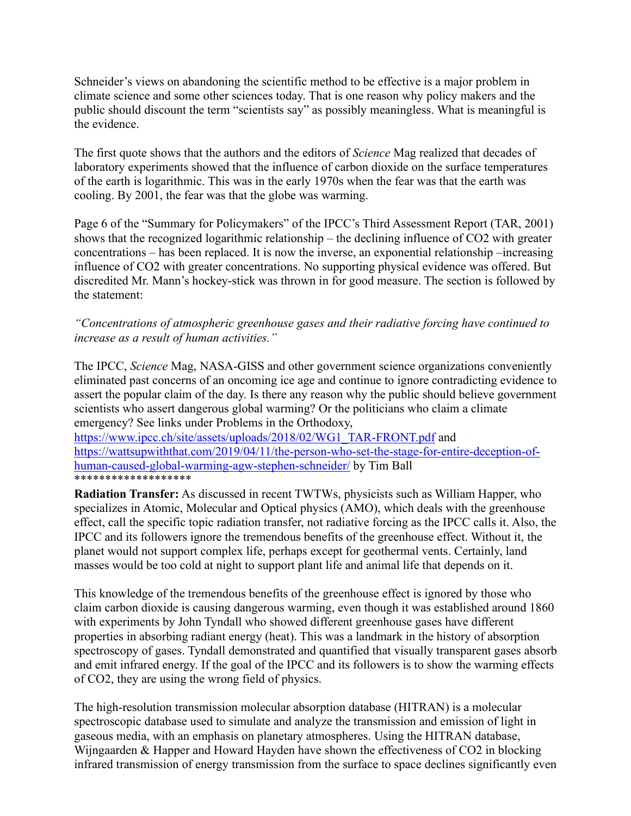Schneider's views on abandoning the scientific method to be effective is a major problem in climate science and some other sciences today. That is one reason why policy makers and the public should discount the term "scientists say" as possibly meaningless. What is meaningful is the evidence.

The first quote shows that the authors and the editors of *Science* Mag realized that decades of laboratory experiments showed that the influence of carbon dioxide on the surface temperatures of the earth is logarithmic. This was in the early 1970s when the fear was that the earth was cooling. By 2001, the fear was that the globe was warming.

Page 6 of the "Summary for Policymakers" of the IPCC's Third Assessment Report (TAR, 2001) shows that the recognized logarithmic relationship – the declining influence of CO2 with greater concentrations – has been replaced. It is now the inverse, an exponential relationship –increasing influence of CO2 with greater concentrations. No supporting physical evidence was offered. But discredited Mr. Mann's hockey-stick was thrown in for good measure. The section is followed by the statement:

*"Concentrations of atmospheric greenhouse gases and their radiative forcing have continued to increase as a result of human activities."*

The IPCC, *Science* Mag, NASA-GISS and other government science organizations conveniently eliminated past concerns of an oncoming ice age and continue to ignore contradicting evidence to assert the popular claim of the day. Is there any reason why the public should believe government scientists who assert dangerous global warming? Or the politicians who claim a climate emergency? See links under Problems in the Orthodoxy,

[https://www.ipcc.ch/site/assets/uploads/2018/02/WG1\\_TAR-FRONT.pdf](https://www.ipcc.ch/site/assets/uploads/2018/02/WG1_TAR-FRONT.pdf) and [https://wattsupwiththat.com/2019/04/11/the-person-who-set-the-stage-for-entire-deception-of](https://wattsupwiththat.com/2019/04/11/the-person-who-set-the-stage-for-entire-deception-of-human-caused-global-warming-agw-stephen-schneider/)[human-caused-global-warming-agw-stephen-schneider/](https://wattsupwiththat.com/2019/04/11/the-person-who-set-the-stage-for-entire-deception-of-human-caused-global-warming-agw-stephen-schneider/) by Tim Ball \*\*\*\*\*\*\*\*\*\*\*\*\*\*\*\*\*\*\*

**Radiation Transfer:** As discussed in recent TWTWs, physicists such as William Happer, who specializes in Atomic, Molecular and Optical physics (AMO), which deals with the greenhouse effect, call the specific topic radiation transfer, not radiative forcing as the IPCC calls it. Also, the IPCC and its followers ignore the tremendous benefits of the greenhouse effect. Without it, the planet would not support complex life, perhaps except for geothermal vents. Certainly, land masses would be too cold at night to support plant life and animal life that depends on it.

This knowledge of the tremendous benefits of the greenhouse effect is ignored by those who claim carbon dioxide is causing dangerous warming, even though it was established around 1860 with experiments by John Tyndall who showed different greenhouse gases have different properties in absorbing radiant energy (heat). This was a landmark in the history of absorption spectroscopy of gases. Tyndall demonstrated and quantified that visually transparent gases absorb and emit infrared energy. If the goal of the IPCC and its followers is to show the warming effects of CO2, they are using the wrong field of physics.

The high-resolution transmission molecular absorption database (HITRAN) is a molecular spectroscopic database used to simulate and analyze the transmission and emission of light in gaseous media, with an emphasis on planetary atmospheres. Using the HITRAN database, Wijngaarden & Happer and Howard Hayden have shown the effectiveness of CO2 in blocking infrared transmission of energy transmission from the surface to space declines significantly even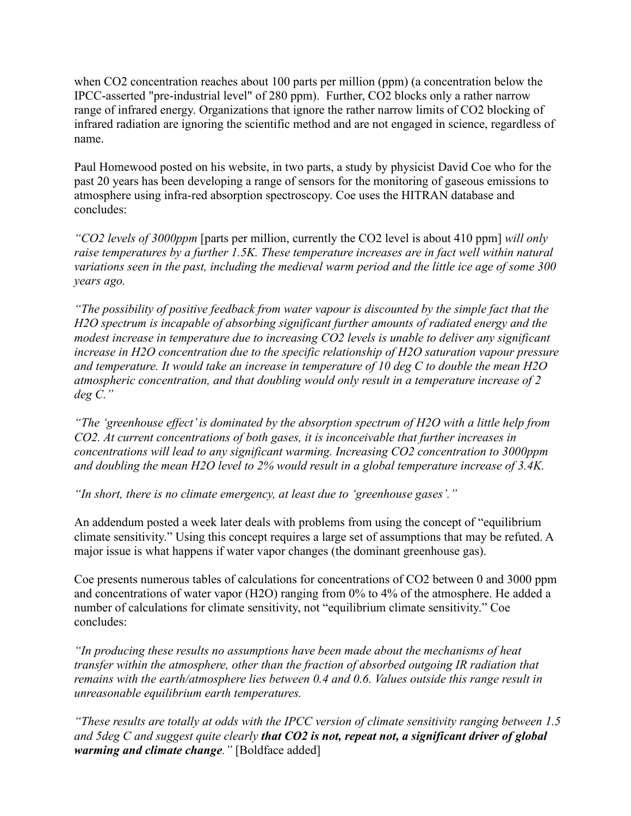when CO2 concentration reaches about 100 parts per million (ppm) (a concentration below the IPCC-asserted "pre-industrial level" of 280 ppm). Further, CO2 blocks only a rather narrow range of infrared energy. Organizations that ignore the rather narrow limits of CO2 blocking of infrared radiation are ignoring the scientific method and are not engaged in science, regardless of name.

Paul Homewood posted on his website, in two parts, a study by physicist David Coe who for the past 20 years has been developing a range of sensors for the monitoring of gaseous emissions to atmosphere using infra-red absorption spectroscopy. Coe uses the HITRAN database and concludes:

*"CO2 levels of 3000ppm* [parts per million, currently the CO2 level is about 410 ppm] *will only raise temperatures by a further 1.5K. These temperature increases are in fact well within natural variations seen in the past, including the medieval warm period and the little ice age of some 300 years ago.*

*"The possibility of positive feedback from water vapour is discounted by the simple fact that the H2O spectrum is incapable of absorbing significant further amounts of radiated energy and the modest increase in temperature due to increasing CO2 levels is unable to deliver any significant increase in H2O concentration due to the specific relationship of H2O saturation vapour pressure and temperature. It would take an increase in temperature of 10 deg C to double the mean H2O atmospheric concentration, and that doubling would only result in a temperature increase of 2 deg C."*

*"The 'greenhouse effect'is dominated by the absorption spectrum of H2O with a little help from CO2. At current concentrations of both gases, it is inconceivable that further increases in concentrations will lead to any significant warming. Increasing CO2 concentration to 3000ppm and doubling the mean H2O level to 2% would result in a global temperature increase of 3.4K.*

*"In short, there is no climate emergency, at least due to 'greenhouse gases'."*

An addendum posted a week later deals with problems from using the concept of "equilibrium climate sensitivity." Using this concept requires a large set of assumptions that may be refuted. A major issue is what happens if water vapor changes (the dominant greenhouse gas).

Coe presents numerous tables of calculations for concentrations of CO2 between 0 and 3000 ppm and concentrations of water vapor (H2O) ranging from 0% to 4% of the atmosphere. He added a number of calculations for climate sensitivity, not "equilibrium climate sensitivity." Coe concludes:

*"In producing these results no assumptions have been made about the mechanisms of heat transfer within the atmosphere, other than the fraction of absorbed outgoing IR radiation that remains with the earth/atmosphere lies between 0.4 and 0.6. Values outside this range result in unreasonable equilibrium earth temperatures.*

*"These results are totally at odds with the IPCC version of climate sensitivity ranging between 1.5 and 5deg C and suggest quite clearly that CO2 is not, repeat not, a significant driver of global warming and climate change."* [Boldface added]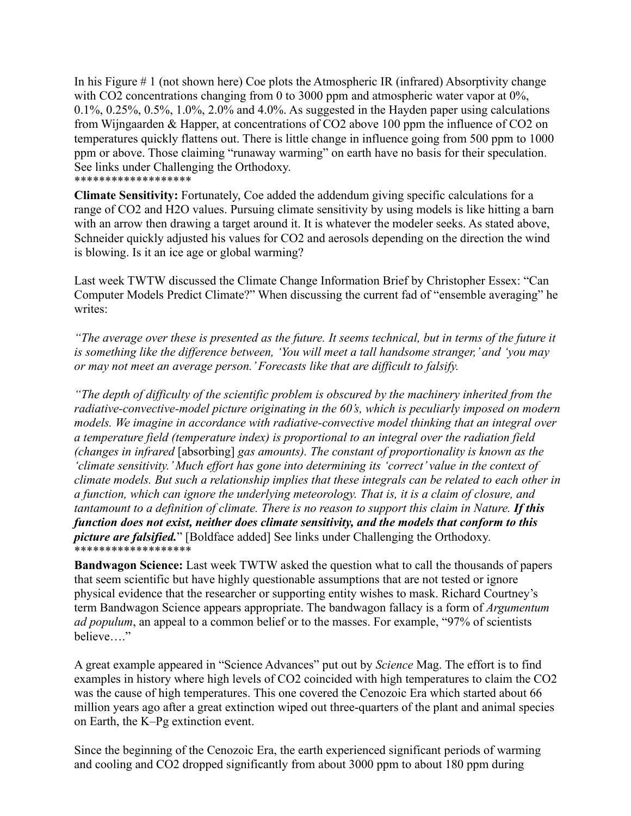In his Figure # 1 (not shown here) Coe plots the Atmospheric IR (infrared) Absorptivity change with CO2 concentrations changing from 0 to 3000 ppm and atmospheric water vapor at 0%, 0.1%, 0.25%, 0.5%, 1.0%, 2.0% and 4.0%. As suggested in the Hayden paper using calculations from Wijngaarden & Happer, at concentrations of CO2 above 100 ppm the influence of CO2 on temperatures quickly flattens out. There is little change in influence going from 500 ppm to 1000 ppm or above. Those claiming "runaway warming" on earth have no basis for their speculation. See links under Challenging the Orthodoxy. \*\*\*\*\*\*\*\*\*\*\*\*\*\*\*\*\*\*\*

**Climate Sensitivity:** Fortunately, Coe added the addendum giving specific calculations for a range of CO2 and H2O values. Pursuing climate sensitivity by using models is like hitting a barn with an arrow then drawing a target around it. It is whatever the modeler seeks. As stated above, Schneider quickly adjusted his values for CO2 and aerosols depending on the direction the wind is blowing. Is it an ice age or global warming?

Last week TWTW discussed the Climate Change Information Brief by Christopher Essex: "Can Computer Models Predict Climate?" When discussing the current fad of "ensemble averaging" he writes:

*"The average over these is presented as the future. It seems technical, but in terms of the future it is something like the difference between, 'You will meet a tall handsome stranger,' and 'you may or may not meet an average person.' Forecasts like that are difficult to falsify.*

*"The depth of difficulty of the scientific problem is obscured by the machinery inherited from the radiative-convective-model picture originating in the 60's, which is peculiarly imposed on modern models. We imagine in accordance with radiative-convective model thinking that an integral over a temperature field (temperature index) is proportional to an integral over the radiation field (changes in infrared* [absorbing] *gas amounts). The constant of proportionality is known as the 'climate sensitivity.' Much effort has gone into determining its 'correct' value in the context of climate models. But such a relationship implies that these integrals can be related to each other in a function, which can ignore the underlying meteorology. That is, it is a claim of closure, and tantamount to a definition of climate. There is no reason to support this claim in Nature. If this function does not exist, neither does climate sensitivity, and the models that conform to this picture are falsified.*" [Boldface added] See links under Challenging the Orthodoxy. \*\*\*\*\*\*\*\*\*\*\*\*\*\*\*\*\*\*

**Bandwagon Science:** Last week TWTW asked the question what to call the thousands of papers that seem scientific but have highly questionable assumptions that are not tested or ignore physical evidence that the researcher or supporting entity wishes to mask. Richard Courtney's term Bandwagon Science appears appropriate. The bandwagon fallacy is a form of *Argumentum ad populum*, an appeal to a common belief or to the masses. For example, "97% of scientists believe…."

A great example appeared in "Science Advances" put out by *Science* Mag. The effort is to find examples in history where high levels of CO2 coincided with high temperatures to claim the CO2 was the cause of high temperatures. This one covered the Cenozoic Era which started about 66 million years ago after a great extinction wiped out three-quarters of the plant and animal species on Earth, the K–Pg extinction event.

Since the beginning of the Cenozoic Era, the earth experienced significant periods of warming and cooling and CO2 dropped significantly from about 3000 ppm to about 180 ppm during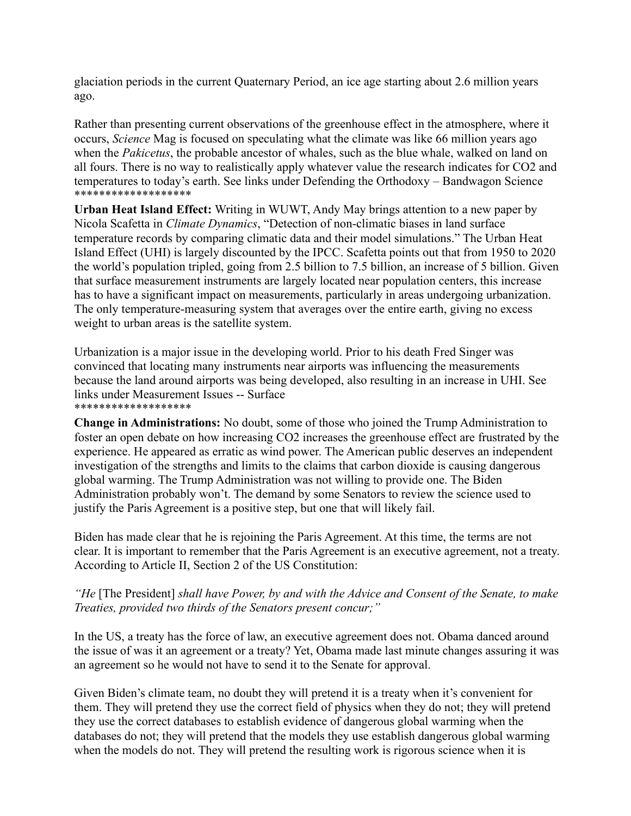glaciation periods in the current Quaternary Period, an ice age starting about 2.6 million years ago.

Rather than presenting current observations of the greenhouse effect in the atmosphere, where it occurs, *Science* Mag is focused on speculating what the climate was like 66 million years ago when the *Pakicetus*, the probable ancestor of whales, such as the blue whale, walked on land on all fours. There is no way to realistically apply whatever value the research indicates for CO2 and temperatures to today's earth. See links under Defending the Orthodoxy – Bandwagon Science \*\*\*\*\*\*\*\*\*\*\*\*\*\*\*\*\*\*\*

**Urban Heat Island Effect:** Writing in WUWT, Andy May brings attention to a new paper by Nicola Scafetta in *Climate Dynamics*, "Detection of non‐climatic biases in land surface temperature records by comparing climatic data and their model simulations." The Urban Heat Island Effect (UHI) is largely discounted by the IPCC. Scafetta points out that from 1950 to 2020 the world's population tripled, going from 2.5 billion to 7.5 billion, an increase of 5 billion. Given that surface measurement instruments are largely located near population centers, this increase has to have a significant impact on measurements, particularly in areas undergoing urbanization. The only temperature-measuring system that averages over the entire earth, giving no excess weight to urban areas is the satellite system.

Urbanization is a major issue in the developing world. Prior to his death Fred Singer was convinced that locating many instruments near airports was influencing the measurements because the land around airports was being developed, also resulting in an increase in UHI. See links under Measurement Issues -- Surface \*\*\*\*\*\*\*\*\*\*\*\*\*\*\*\*\*\*\*

**Change in Administrations:** No doubt, some of those who joined the Trump Administration to foster an open debate on how increasing CO2 increases the greenhouse effect are frustrated by the experience. He appeared as erratic as wind power. The American public deserves an independent investigation of the strengths and limits to the claims that carbon dioxide is causing dangerous global warming. The Trump Administration was not willing to provide one. The Biden Administration probably won't. The demand by some Senators to review the science used to justify the Paris Agreement is a positive step, but one that will likely fail.

Biden has made clear that he is rejoining the Paris Agreement. At this time, the terms are not clear. It is important to remember that the Paris Agreement is an executive agreement, not a treaty. According to Article II, Section 2 of the US Constitution:

#### *"He* [The President] *shall have Power, by and with the Advice and Consent of the Senate, to make Treaties, provided two thirds of the Senators present concur;"*

In the US, a treaty has the force of law, an executive agreement does not. Obama danced around the issue of was it an agreement or a treaty? Yet, Obama made last minute changes assuring it was an agreement so he would not have to send it to the Senate for approval.

Given Biden's climate team, no doubt they will pretend it is a treaty when it's convenient for them. They will pretend they use the correct field of physics when they do not; they will pretend they use the correct databases to establish evidence of dangerous global warming when the databases do not; they will pretend that the models they use establish dangerous global warming when the models do not. They will pretend the resulting work is rigorous science when it is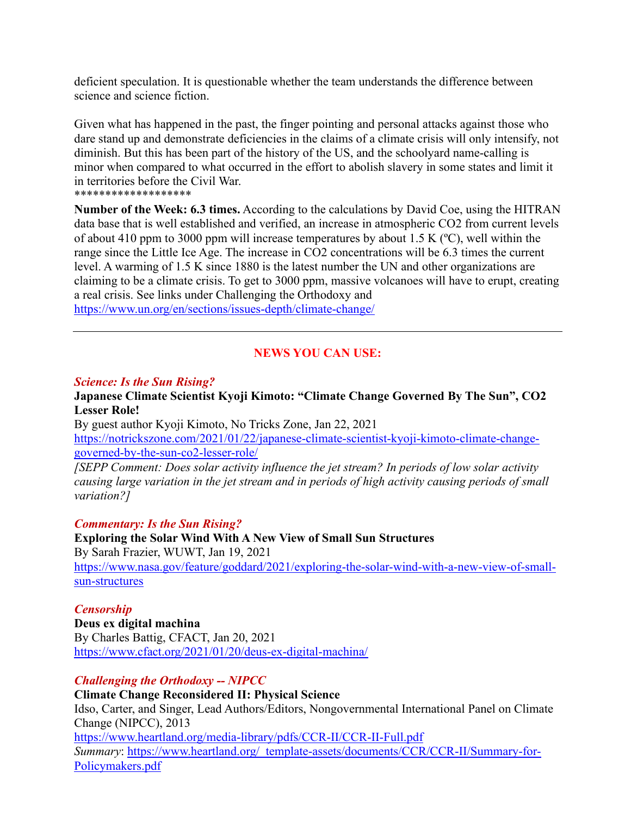deficient speculation. It is questionable whether the team understands the difference between science and science fiction.

Given what has happened in the past, the finger pointing and personal attacks against those who dare stand up and demonstrate deficiencies in the claims of a climate crisis will only intensify, not diminish. But this has been part of the history of the US, and the schoolyard name-calling is minor when compared to what occurred in the effort to abolish slavery in some states and limit it in territories before the Civil War.

\*\*\*\*\*\*\*\*\*\*\*\*\*\*\*\*\*\*\*

**Number of the Week: 6.3 times.** According to the calculations by David Coe, using the HITRAN data base that is well established and verified, an increase in atmospheric CO2 from current levels of about 410 ppm to 3000 ppm will increase temperatures by about 1.5 K (ºC), well within the range since the Little Ice Age. The increase in CO2 concentrations will be 6.3 times the current level. A warming of 1.5 K since 1880 is the latest number the UN and other organizations are claiming to be a climate crisis. To get to 3000 ppm, massive volcanoes will have to erupt, creating a real crisis. See links under Challenging the Orthodoxy and <https://www.un.org/en/sections/issues-depth/climate-change/>

### **NEWS YOU CAN USE:**

#### *Science: Is the Sun Rising?*

#### **Japanese Climate Scientist Kyoji Kimoto: "Climate Change Governed By The Sun", CO2 Lesser Role!**

By guest author Kyoji Kimoto, No Tricks Zone, Jan 22, 2021 [https://notrickszone.com/2021/01/22/japanese-climate-scientist-kyoji-kimoto-climate-change](https://notrickszone.com/2021/01/22/japanese-climate-scientist-kyoji-kimoto-climate-change-governed-by-the-sun-co2-lesser-role/)[governed-by-the-sun-co2-lesser-role/](https://notrickszone.com/2021/01/22/japanese-climate-scientist-kyoji-kimoto-climate-change-governed-by-the-sun-co2-lesser-role/)

*[SEPP Comment: Does solar activity influence the jet stream? In periods of low solar activity causing large variation in the jet stream and in periods of high activity causing periods of small variation?]*

#### *Commentary: Is the Sun Rising?*

**Exploring the Solar Wind With A New View of Small Sun Structures** By Sarah Frazier, WUWT, Jan 19, 2021 [https://www.nasa.gov/feature/goddard/2021/exploring-the-solar-wind-with-a-new-view-of-small](https://www.nasa.gov/feature/goddard/2021/exploring-the-solar-wind-with-a-new-view-of-small-sun-structures)[sun-structures](https://www.nasa.gov/feature/goddard/2021/exploring-the-solar-wind-with-a-new-view-of-small-sun-structures)

#### *Censorship*

**Deus ex digital machina** By Charles Battig, CFACT, Jan 20, 2021 <https://www.cfact.org/2021/01/20/deus-ex-digital-machina/>

#### *Challenging the Orthodoxy -- NIPCC*

#### **Climate Change Reconsidered II: Physical Science**

Idso, Carter, and Singer, Lead Authors/Editors, Nongovernmental International Panel on Climate Change (NIPCC), 2013 <https://www.heartland.org/media-library/pdfs/CCR-II/CCR-II-Full.pdf> *Summary*: [https://www.heartland.org/\\_template-assets/documents/CCR/CCR-II/Summary-for-](https://www.heartland.org/_template-assets/documents/CCR/CCR-II/Summary-for-Policymakers.pdf)[Policymakers.pdf](https://www.heartland.org/_template-assets/documents/CCR/CCR-II/Summary-for-Policymakers.pdf)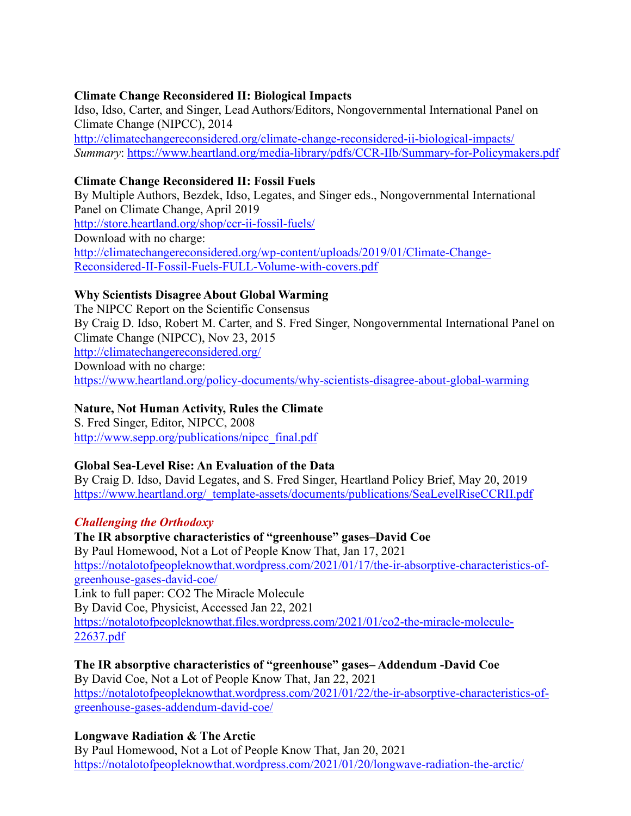#### **Climate Change Reconsidered II: Biological Impacts**

Idso, Idso, Carter, and Singer, Lead Authors/Editors, Nongovernmental International Panel on Climate Change (NIPCC), 2014 <http://climatechangereconsidered.org/climate-change-reconsidered-ii-biological-impacts/> *Summary*:<https://www.heartland.org/media-library/pdfs/CCR-IIb/Summary-for-Policymakers.pdf>

#### **Climate Change Reconsidered II: Fossil Fuels**

By Multiple Authors, Bezdek, Idso, Legates, and Singer eds., Nongovernmental International Panel on Climate Change, April 2019 <http://store.heartland.org/shop/ccr-ii-fossil-fuels/> Download with no charge: [http://climatechangereconsidered.org/wp-content/uploads/2019/01/Climate-Change-](http://climatechangereconsidered.org/wp-content/uploads/2019/01/Climate-Change-Reconsidered-II-Fossil-Fuels-FULL-Volume-with-covers.pdf)[Reconsidered-II-Fossil-Fuels-FULL-Volume-with-covers.pdf](http://climatechangereconsidered.org/wp-content/uploads/2019/01/Climate-Change-Reconsidered-II-Fossil-Fuels-FULL-Volume-with-covers.pdf)

#### **Why Scientists Disagree About Global Warming**

The NIPCC Report on the Scientific Consensus By Craig D. Idso, Robert M. Carter, and S. Fred Singer, Nongovernmental International Panel on Climate Change (NIPCC), Nov 23, 2015 <http://climatechangereconsidered.org/> Download with no charge: <https://www.heartland.org/policy-documents/why-scientists-disagree-about-global-warming>

### **Nature, Not Human Activity, Rules the Climate**

S. Fred Singer, Editor, NIPCC, 2008 [http://www.sepp.org/publications/nipcc\\_final.pdf](http://www.sepp.org/publications/nipcc_final.pdf)

#### **Global Sea-Level Rise: An Evaluation of the Data**

By Craig D. Idso, David Legates, and S. Fred Singer, Heartland Policy Brief, May 20, 2019 [https://www.heartland.org/\\_template-assets/documents/publications/SeaLevelRiseCCRII.pdf](https://www.heartland.org/_template-assets/documents/publications/SeaLevelRiseCCRII.pdf)

#### *Challenging the Orthodoxy*

**The IR absorptive characteristics of "greenhouse" gases–David Coe** By Paul Homewood, Not a Lot of People Know That, Jan 17, 2021 [https://notalotofpeopleknowthat.wordpress.com/2021/01/17/the-ir-absorptive-characteristics-of](https://notalotofpeopleknowthat.wordpress.com/2021/01/17/the-ir-absorptive-characteristics-of-greenhouse-gases-david-coe/)[greenhouse-gases-david-coe/](https://notalotofpeopleknowthat.wordpress.com/2021/01/17/the-ir-absorptive-characteristics-of-greenhouse-gases-david-coe/) Link to full paper: CO2 The Miracle Molecule By David Coe, Physicist, Accessed Jan 22, 2021 [https://notalotofpeopleknowthat.files.wordpress.com/2021/01/co2-the-miracle-molecule-](https://notalotofpeopleknowthat.files.wordpress.com/2021/01/co2-the-miracle-molecule-22637.pdf)[22637.pdf](https://notalotofpeopleknowthat.files.wordpress.com/2021/01/co2-the-miracle-molecule-22637.pdf)

**The IR absorptive characteristics of "greenhouse" gases– Addendum -David Coe** By David Coe, Not a Lot of People Know That, Jan 22, 2021 [https://notalotofpeopleknowthat.wordpress.com/2021/01/22/the-ir-absorptive-characteristics-of](https://notalotofpeopleknowthat.wordpress.com/2021/01/22/the-ir-absorptive-characteristics-of-greenhouse-gases-addendum-david-coe/)[greenhouse-gases-addendum-david-coe/](https://notalotofpeopleknowthat.wordpress.com/2021/01/22/the-ir-absorptive-characteristics-of-greenhouse-gases-addendum-david-coe/)

#### **Longwave Radiation & The Arctic**

By Paul Homewood, Not a Lot of People Know That, Jan 20, 2021 <https://notalotofpeopleknowthat.wordpress.com/2021/01/20/longwave-radiation-the-arctic/>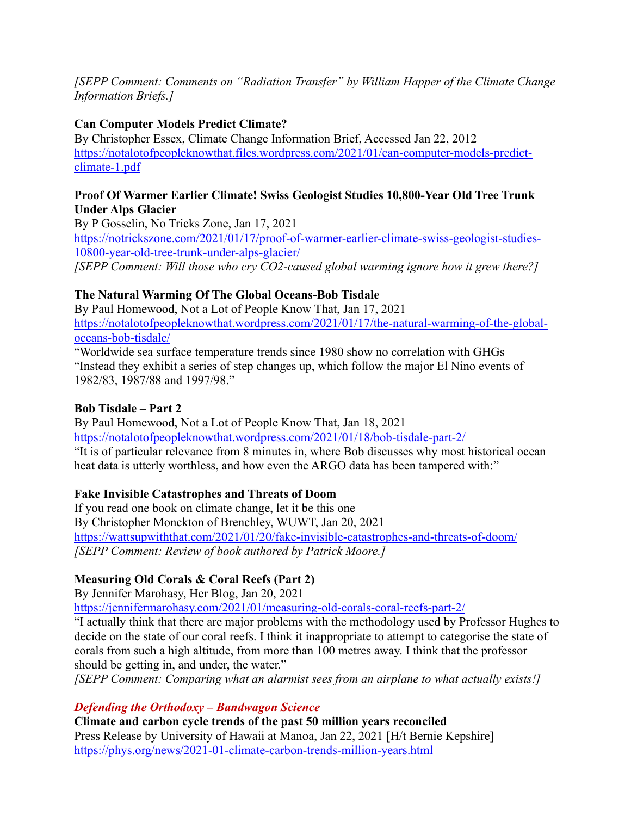*[SEPP Comment: Comments on "Radiation Transfer" by William Happer of the Climate Change Information Briefs.]*

### **Can Computer Models Predict Climate?**

By Christopher Essex, Climate Change Information Brief, Accessed Jan 22, 2012 [https://notalotofpeopleknowthat.files.wordpress.com/2021/01/can-computer-models-predict](https://notalotofpeopleknowthat.files.wordpress.com/2021/01/can-computer-models-predict-climate-1.pdf)[climate-1.pdf](https://notalotofpeopleknowthat.files.wordpress.com/2021/01/can-computer-models-predict-climate-1.pdf)

#### **Proof Of Warmer Earlier Climate! Swiss Geologist Studies 10,800-Year Old Tree Trunk Under Alps Glacier**

By P Gosselin, No Tricks Zone, Jan 17, 2021 [https://notrickszone.com/2021/01/17/proof-of-warmer-earlier-climate-swiss-geologist-studies-](https://notrickszone.com/2021/01/17/proof-of-warmer-earlier-climate-swiss-geologist-studies-10800-year-old-tree-trunk-under-alps-glacier/)[10800-year-old-tree-trunk-under-alps-glacier/](https://notrickszone.com/2021/01/17/proof-of-warmer-earlier-climate-swiss-geologist-studies-10800-year-old-tree-trunk-under-alps-glacier/) *[SEPP Comment: Will those who cry CO2-caused global warming ignore how it grew there?]*

### **The Natural Warming Of The Global Oceans-Bob Tisdale**

By Paul Homewood, Not a Lot of People Know That, Jan 17, 2021 [https://notalotofpeopleknowthat.wordpress.com/2021/01/17/the-natural-warming-of-the-global](https://notalotofpeopleknowthat.wordpress.com/2021/01/17/the-natural-warming-of-the-global-oceans-bob-tisdale/)[oceans-bob-tisdale/](https://notalotofpeopleknowthat.wordpress.com/2021/01/17/the-natural-warming-of-the-global-oceans-bob-tisdale/)

"Worldwide sea surface temperature trends since 1980 show no correlation with GHGs "Instead they exhibit a series of step changes up, which follow the major El Nino events of 1982/83, 1987/88 and 1997/98."

#### **Bob Tisdale – Part 2**

By Paul Homewood, Not a Lot of People Know That, Jan 18, 2021 <https://notalotofpeopleknowthat.wordpress.com/2021/01/18/bob-tisdale-part-2/> "It is of particular relevance from 8 minutes in, where Bob discusses why most historical ocean heat data is utterly worthless, and how even the ARGO data has been tampered with:"

### **Fake Invisible Catastrophes and Threats of Doom**

If you read one book on climate change, let it be this one By Christopher Monckton of Brenchley, WUWT, Jan 20, 2021 <https://wattsupwiththat.com/2021/01/20/fake-invisible-catastrophes-and-threats-of-doom/> *[SEPP Comment: Review of book authored by Patrick Moore.]*

### **Measuring Old Corals & Coral Reefs (Part 2)**

By Jennifer Marohasy, Her Blog, Jan 20, 2021

<https://jennifermarohasy.com/2021/01/measuring-old-corals-coral-reefs-part-2/>

"I actually think that there are major problems with the methodology used by Professor Hughes to decide on the state of our coral reefs. I think it inappropriate to attempt to categorise the state of corals from such a high altitude, from more than 100 metres away. I think that the professor should be getting in, and under, the water."

*[SEPP Comment: Comparing what an alarmist sees from an airplane to what actually exists!]*

#### *Defending the Orthodoxy – Bandwagon Science*

**Climate and carbon cycle trends of the past 50 million years reconciled** Press Release by University of Hawaii at Manoa, Jan 22, 2021 [H/t Bernie Kepshire] <https://phys.org/news/2021-01-climate-carbon-trends-million-years.html>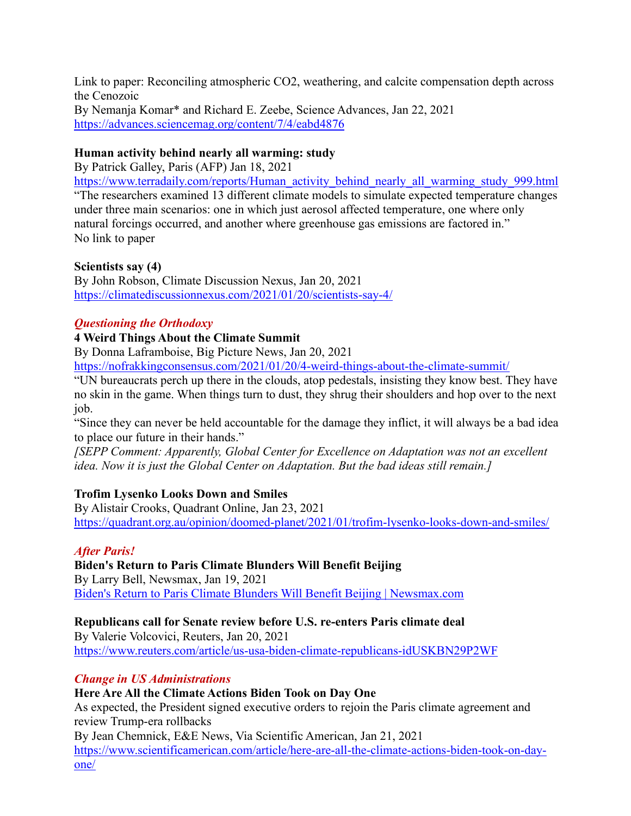Link to paper: Reconciling atmospheric CO2, weathering, and calcite compensation depth across the Cenozoic By Nemanja Komar\* and Richard E. Zeebe, Science Advances, Jan 22, 2021 <https://advances.sciencemag.org/content/7/4/eabd4876>

### **Human activity behind nearly all warming: study**

By Patrick Galley, Paris (AFP) Jan 18, 2021

[https://www.terradaily.com/reports/Human\\_activity\\_behind\\_nearly\\_all\\_warming\\_study\\_999.html](https://www.terradaily.com/reports/Human_activity_behind_nearly_all_warming_study_999.html) "The researchers examined 13 different climate models to simulate expected temperature changes under three main scenarios: one in which just aerosol affected temperature, one where only natural forcings occurred, and another where greenhouse gas emissions are factored in." No link to paper

### **Scientists say (4)**

By John Robson, Climate Discussion Nexus, Jan 20, 2021 <https://climatediscussionnexus.com/2021/01/20/scientists-say-4/>

### *Questioning the Orthodoxy*

### **4 Weird Things About the Climate Summit**

By Donna Laframboise, Big Picture News, Jan 20, 2021

<https://nofrakkingconsensus.com/2021/01/20/4-weird-things-about-the-climate-summit/>

"UN bureaucrats perch up there in the clouds, atop pedestals, insisting they know best. They have no skin in the game. When things turn to dust, they shrug their shoulders and hop over to the next job.

"Since they can never be held accountable for the damage they inflict, it will always be a bad idea to place our future in their hands."

*[SEPP Comment: Apparently, Global Center for Excellence on Adaptation was not an excellent idea. Now it is just the Global Center on Adaptation. But the bad ideas still remain.]*

### **Trofim Lysenko Looks Down and Smiles**

By Alistair Crooks, Quadrant Online, Jan 23, 2021 <https://quadrant.org.au/opinion/doomed-planet/2021/01/trofim-lysenko-looks-down-and-smiles/>

#### *After Paris!*

**Biden's Return to Paris Climate Blunders Will Benefit Beijing** By Larry Bell, Newsmax, Jan 19, 2021 [Biden's Return to Paris Climate Blunders Will Benefit Beijing | Newsmax.com](https://www.newsmax.com/larrybell/epa-xijinping-mccarthy/2021/01/19/id/1006285/)

### **Republicans call for Senate review before U.S. re-enters Paris climate deal**

By Valerie Volcovici, Reuters, Jan 20, 2021 <https://www.reuters.com/article/us-usa-biden-climate-republicans-idUSKBN29P2WF>

#### *Change in US Administrations*

### **Here Are All the Climate Actions Biden Took on Day One**

As expected, the President signed executive orders to rejoin the Paris climate agreement and review Trump-era rollbacks

By Jean Chemnick, E&E News, Via Scientific American, Jan 21, 2021

[https://www.scientificamerican.com/article/here-are-all-the-climate-actions-biden-took-on-day](https://www.scientificamerican.com/article/here-are-all-the-climate-actions-biden-took-on-day-one/)[one/](https://www.scientificamerican.com/article/here-are-all-the-climate-actions-biden-took-on-day-one/)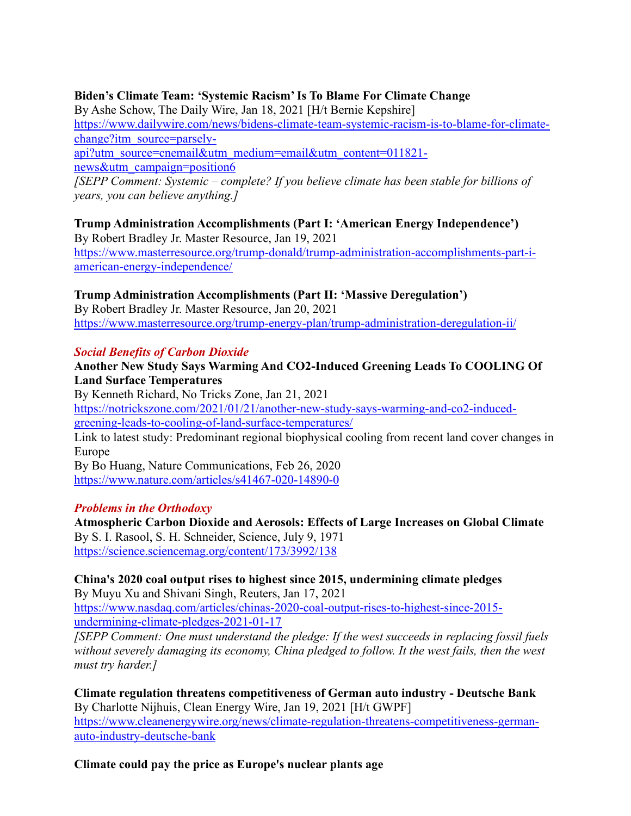#### **Biden's Climate Team: 'Systemic Racism' Is To Blame For Climate Change**

By Ashe Schow, The Daily Wire, Jan 18, 2021 [H/t Bernie Kepshire]

[https://www.dailywire.com/news/bidens-climate-team-systemic-racism-is-to-blame-for-climate](https://www.dailywire.com/news/bidens-climate-team-systemic-racism-is-to-blame-for-climate-change?itm_source=parsely-api?utm_source=cnemail&utm_medium=email&utm_content=011821-news&utm_campaign=position6)[change?itm\\_source=parsely-](https://www.dailywire.com/news/bidens-climate-team-systemic-racism-is-to-blame-for-climate-change?itm_source=parsely-api?utm_source=cnemail&utm_medium=email&utm_content=011821-news&utm_campaign=position6)

[api?utm\\_source=cnemail&utm\\_medium=email&utm\\_content=011821](https://www.dailywire.com/news/bidens-climate-team-systemic-racism-is-to-blame-for-climate-change?itm_source=parsely-api?utm_source=cnemail&utm_medium=email&utm_content=011821-news&utm_campaign=position6) [news&utm\\_campaign=position6](https://www.dailywire.com/news/bidens-climate-team-systemic-racism-is-to-blame-for-climate-change?itm_source=parsely-api?utm_source=cnemail&utm_medium=email&utm_content=011821-news&utm_campaign=position6)

*[SEPP Comment: Systemic – complete? If you believe climate has been stable for billions of years, you can believe anything.]*

**Trump Administration Accomplishments (Part I: 'American Energy Independence')** By Robert Bradley Jr. Master Resource, Jan 19, 2021 [https://www.masterresource.org/trump-donald/trump-administration-accomplishments-part-i-](https://www.masterresource.org/trump-donald/trump-administration-accomplishments-part-i-american-energy-independence/)

[american-energy-independence/](https://www.masterresource.org/trump-donald/trump-administration-accomplishments-part-i-american-energy-independence/)

#### **Trump Administration Accomplishments (Part II: 'Massive Deregulation')**

By Robert Bradley Jr. Master Resource, Jan 20, 2021 <https://www.masterresource.org/trump-energy-plan/trump-administration-deregulation-ii/>

#### *Social Benefits of Carbon Dioxide*

#### **Another New Study Says Warming And CO2-Induced Greening Leads To COOLING Of Land Surface Temperatures**

By Kenneth Richard, No Tricks Zone, Jan 21, 2021 [https://notrickszone.com/2021/01/21/another-new-study-says-warming-and-co2-induced](https://notrickszone.com/2021/01/21/another-new-study-says-warming-and-co2-induced-greening-leads-to-cooling-of-land-surface-temperatures/)[greening-leads-to-cooling-of-land-surface-temperatures/](https://notrickszone.com/2021/01/21/another-new-study-says-warming-and-co2-induced-greening-leads-to-cooling-of-land-surface-temperatures/) Link to latest study: Predominant regional biophysical cooling from recent land cover changes in Europe By Bo Huang, Nature Communications, Feb 26, 2020 <https://www.nature.com/articles/s41467-020-14890-0>

#### *Problems in the Orthodoxy*

**Atmospheric Carbon Dioxide and Aerosols: Effects of Large Increases on Global Climate** By S. I. Rasool, S. H. Schneider, Science, July 9, 1971 <https://science.sciencemag.org/content/173/3992/138>

#### **China's 2020 coal output rises to highest since 2015, undermining climate pledges** By Muyu Xu and Shivani Singh, Reuters, Jan 17, 2021

[https://www.nasdaq.com/articles/chinas-2020-coal-output-rises-to-highest-since-2015](https://www.nasdaq.com/articles/chinas-2020-coal-output-rises-to-highest-since-2015-undermining-climate-pledges-2021-01-17) [undermining-climate-pledges-2021-01-17](https://www.nasdaq.com/articles/chinas-2020-coal-output-rises-to-highest-since-2015-undermining-climate-pledges-2021-01-17)

*[SEPP Comment: One must understand the pledge: If the west succeeds in replacing fossil fuels without severely damaging its economy, China pledged to follow. It the west fails, then the west must try harder.]*

**Climate regulation threatens competitiveness of German auto industry - Deutsche Bank** By Charlotte Nijhuis, Clean Energy Wire, Jan 19, 2021 [H/t GWPF] [https://www.cleanenergywire.org/news/climate-regulation-threatens-competitiveness-german](https://www.cleanenergywire.org/news/climate-regulation-threatens-competitiveness-german-auto-industry-deutsche-bank)[auto-industry-deutsche-bank](https://www.cleanenergywire.org/news/climate-regulation-threatens-competitiveness-german-auto-industry-deutsche-bank)

#### **Climate could pay the price as Europe's nuclear plants age**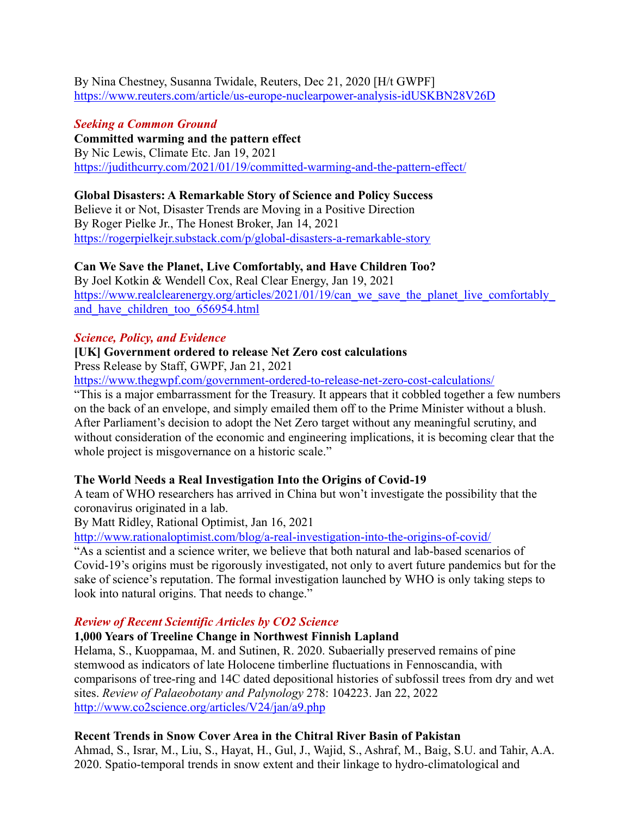By Nina Chestney, Susanna Twidale, Reuters, Dec 21, 2020 [H/t GWPF] <https://www.reuters.com/article/us-europe-nuclearpower-analysis-idUSKBN28V26D>

### *Seeking a Common Ground*

**Committed warming and the pattern effect** By Nic Lewis, Climate Etc. Jan 19, 2021 <https://judithcurry.com/2021/01/19/committed-warming-and-the-pattern-effect/>

### **Global Disasters: A Remarkable Story of Science and Policy Success**

Believe it or Not, Disaster Trends are Moving in a Positive Direction By Roger Pielke Jr., The Honest Broker, Jan 14, 2021 <https://rogerpielkejr.substack.com/p/global-disasters-a-remarkable-story>

### **Can We Save the Planet, Live Comfortably, and Have Children Too?**

By Joel Kotkin & Wendell Cox, Real Clear Energy, Jan 19, 2021 https://www.realclearenergy.org/articles/2021/01/19/can\_we\_save\_the\_planet\_live\_comfortably and have children too 656954.html

### *Science, Policy, and Evidence*

### **[UK] Government ordered to release Net Zero cost calculations**

Press Release by Staff, GWPF, Jan 21, 2021

<https://www.thegwpf.com/government-ordered-to-release-net-zero-cost-calculations/>

"This is a major embarrassment for the Treasury. It appears that it cobbled together a few numbers on the back of an envelope, and simply emailed them off to the Prime Minister without a blush. After Parliament's decision to adopt the Net Zero target without any meaningful scrutiny, and without consideration of the economic and engineering implications, it is becoming clear that the whole project is misgovernance on a historic scale."

#### **The World Needs a Real Investigation Into the Origins of Covid-19**

A team of WHO researchers has arrived in China but won't investigate the possibility that the coronavirus originated in a lab.

By Matt Ridley, Rational Optimist, Jan 16, 2021

<http://www.rationaloptimist.com/blog/a-real-investigation-into-the-origins-of-covid/>

"As a scientist and a science writer, we believe that both natural and lab-based scenarios of Covid-19's origins must be rigorously investigated, not only to avert future pandemics but for the sake of science's reputation. The formal investigation launched by WHO is only taking steps to look into natural origins. That needs to change."

#### *Review of Recent Scientific Articles by CO2 Science*

#### **1,000 Years of Treeline Change in Northwest Finnish Lapland**

Helama, S., Kuoppamaa, M. and Sutinen, R. 2020. Subaerially preserved remains of pine stemwood as indicators of late Holocene timberline fluctuations in Fennoscandia, with comparisons of tree-ring and 14C dated depositional histories of subfossil trees from dry and wet sites. *Review of Palaeobotany and Palynology* 278: 104223. Jan 22, 2022 <http://www.co2science.org/articles/V24/jan/a9.php>

### **Recent Trends in Snow Cover Area in the Chitral River Basin of Pakistan**

Ahmad, S., Israr, M., Liu, S., Hayat, H., Gul, J., Wajid, S., Ashraf, M., Baig, S.U. and Tahir, A.A. 2020. Spatio-temporal trends in snow extent and their linkage to hydro-climatological and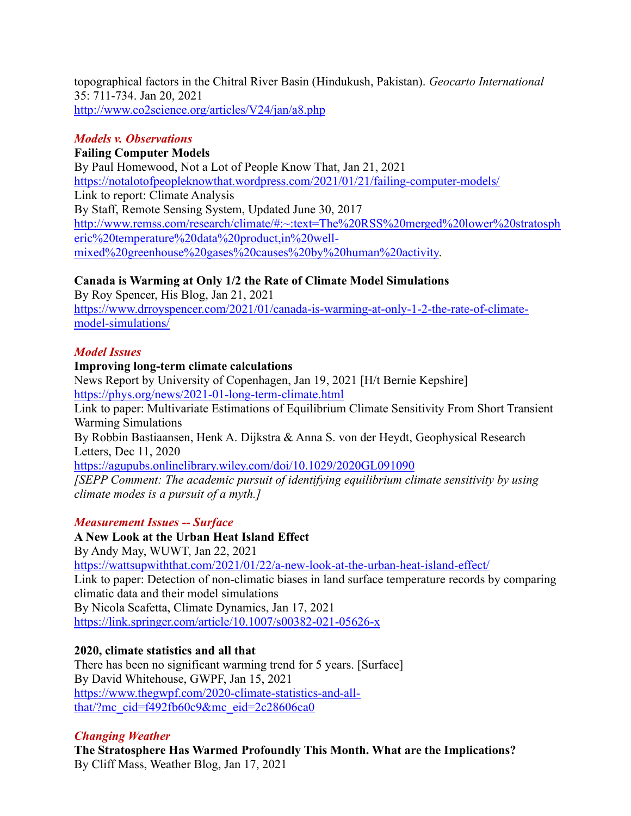topographical factors in the Chitral River Basin (Hindukush, Pakistan). *Geocarto International* 35: 711-734. Jan 20, 2021 <http://www.co2science.org/articles/V24/jan/a8.php>

### *Models v. Observations*

### **Failing Computer Models**

By Paul Homewood, Not a Lot of People Know That, Jan 21, 2021 <https://notalotofpeopleknowthat.wordpress.com/2021/01/21/failing-computer-models/> Link to report: Climate Analysis By Staff, Remote Sensing System, Updated June 30, 2017 [http://www.remss.com/research/climate/#:~:text=The%20RSS%20merged%20lower%20stratosph](http://www.remss.com/research/climate/#:~:text=The%20RSS%20merged%20lower%20stratospheric%20temperature%20data%20product,in%20well-mixed%20greenhouse%20gases%20causes%20by%20human%20activity) [eric%20temperature%20data%20product,in%20well](http://www.remss.com/research/climate/#:~:text=The%20RSS%20merged%20lower%20stratospheric%20temperature%20data%20product,in%20well-mixed%20greenhouse%20gases%20causes%20by%20human%20activity)[mixed%20greenhouse%20gases%20causes%20by%20human%20activity.](http://www.remss.com/research/climate/#:~:text=The%20RSS%20merged%20lower%20stratospheric%20temperature%20data%20product,in%20well-mixed%20greenhouse%20gases%20causes%20by%20human%20activity)

### **Canada is Warming at Only 1/2 the Rate of Climate Model Simulations**

By Roy Spencer, His Blog, Jan 21, 2021 [https://www.drroyspencer.com/2021/01/canada-is-warming-at-only-1-2-the-rate-of-climate](https://www.drroyspencer.com/2021/01/canada-is-warming-at-only-1-2-the-rate-of-climate-model-simulations/)[model-simulations/](https://www.drroyspencer.com/2021/01/canada-is-warming-at-only-1-2-the-rate-of-climate-model-simulations/)

#### *Model Issues*

#### **Improving long-term climate calculations**

News Report by University of Copenhagen, Jan 19, 2021 [H/t Bernie Kepshire] <https://phys.org/news/2021-01-long-term-climate.html>

Link to paper: Multivariate Estimations of Equilibrium Climate Sensitivity From Short Transient Warming Simulations

By Robbin Bastiaansen, Henk A. Dijkstra & Anna S. von der Heydt, Geophysical Research Letters, Dec 11, 2020

<https://agupubs.onlinelibrary.wiley.com/doi/10.1029/2020GL091090>

*[SEPP Comment: The academic pursuit of identifying equilibrium climate sensitivity by using climate modes is a pursuit of a myth.]*

#### *Measurement Issues -- Surface*

#### **A New Look at the Urban Heat Island Effect** By Andy May, WUWT, Jan 22, 2021

<https://wattsupwiththat.com/2021/01/22/a-new-look-at-the-urban-heat-island-effect/> Link to paper: Detection of non‐climatic biases in land surface temperature records by comparing climatic data and their model simulations By Nicola Scafetta, Climate Dynamics, Jan 17, 2021 <https://link.springer.com/article/10.1007/s00382-021-05626-x>

# **2020, climate statistics and all that**

There has been no significant warming trend for 5 years. [Surface] By David Whitehouse, GWPF, Jan 15, 2021 [https://www.thegwpf.com/2020-climate-statistics-and-all](https://www.thegwpf.com/2020-climate-statistics-and-all-that/?mc_cid=f492fb60c9&mc_eid=2c28606ca0)[that/?mc\\_cid=f492fb60c9&mc\\_eid=2c28606ca0](https://www.thegwpf.com/2020-climate-statistics-and-all-that/?mc_cid=f492fb60c9&mc_eid=2c28606ca0)

# *Changing Weather*

**The Stratosphere Has Warmed Profoundly This Month. What are the Implications?** By Cliff Mass, Weather Blog, Jan 17, 2021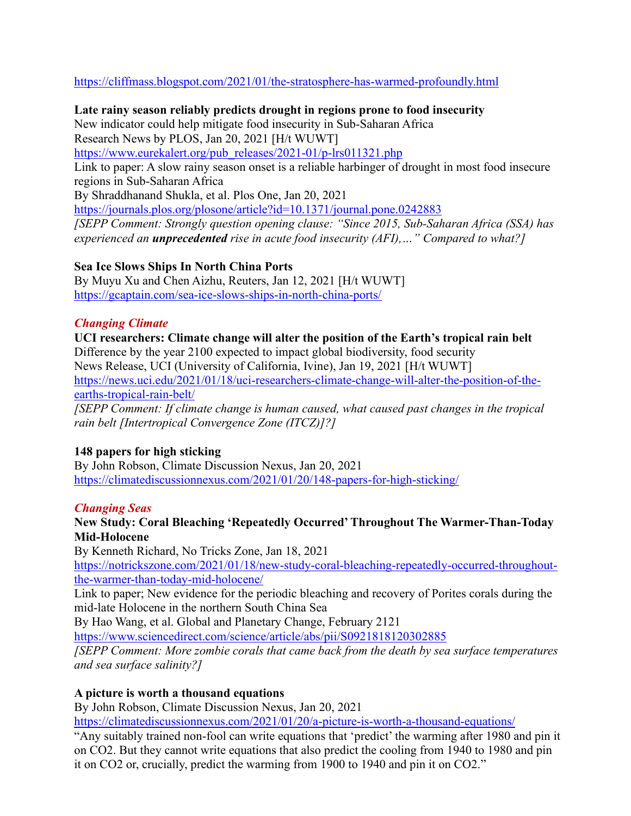<https://cliffmass.blogspot.com/2021/01/the-stratosphere-has-warmed-profoundly.html>

**Late rainy season reliably predicts drought in regions prone to food insecurity** New indicator could help mitigate food insecurity in Sub-Saharan Africa Research News by PLOS, Jan 20, 2021 [H/t WUWT] [https://www.eurekalert.org/pub\\_releases/2021-01/p-lrs011321.php](https://www.eurekalert.org/pub_releases/2021-01/p-lrs011321.php) Link to paper: A slow rainy season onset is a reliable harbinger of drought in most food insecure regions in Sub-Saharan Africa By Shraddhanand Shukla, et al. Plos One, Jan 20, 2021 <https://journals.plos.org/plosone/article?id=10.1371/journal.pone.0242883> *[SEPP Comment: Strongly question opening clause: "Since 2015, Sub-Saharan Africa (SSA) has experienced an unprecedented rise in acute food insecurity (AFI),…" Compared to what?]*

#### **Sea Ice Slows Ships In North China Ports**

By Muyu Xu and Chen Aizhu, Reuters, Jan 12, 2021 [H/t WUWT] <https://gcaptain.com/sea-ice-slows-ships-in-north-china-ports/>

#### *Changing Climate*

**UCI researchers: Climate change will alter the position of the Earth's tropical rain belt** Difference by the year 2100 expected to impact global biodiversity, food security News Release, UCI (University of California, Ivine), Jan 19, 2021 [H/t WUWT] [https://news.uci.edu/2021/01/18/uci-researchers-climate-change-will-alter-the-position-of-the](https://news.uci.edu/2021/01/18/uci-researchers-climate-change-will-alter-the-position-of-the-earths-tropical-rain-belt/)[earths-tropical-rain-belt/](https://news.uci.edu/2021/01/18/uci-researchers-climate-change-will-alter-the-position-of-the-earths-tropical-rain-belt/) *[SEPP Comment: If climate change is human caused, what caused past changes in the tropical* 

*rain belt [Intertropical Convergence Zone (ITCZ)]?]* 

#### **148 papers for high sticking**

By John Robson, Climate Discussion Nexus, Jan 20, 2021 <https://climatediscussionnexus.com/2021/01/20/148-papers-for-high-sticking/>

#### *Changing Seas*

#### **New Study: Coral Bleaching 'Repeatedly Occurred' Throughout The Warmer-Than-Today Mid-Holocene**

By Kenneth Richard, No Tricks Zone, Jan 18, 2021

[https://notrickszone.com/2021/01/18/new-study-coral-bleaching-repeatedly-occurred-throughout](https://notrickszone.com/2021/01/18/new-study-coral-bleaching-repeatedly-occurred-throughout-the-warmer-than-today-mid-holocene/)[the-warmer-than-today-mid-holocene/](https://notrickszone.com/2021/01/18/new-study-coral-bleaching-repeatedly-occurred-throughout-the-warmer-than-today-mid-holocene/)

Link to paper; New evidence for the periodic bleaching and recovery of Porites corals during the mid-late Holocene in the northern South China Sea

By Hao Wang, et al. Global and Planetary Change, February 2121

<https://www.sciencedirect.com/science/article/abs/pii/S0921818120302885>

*[SEPP Comment: More zombie corals that came back from the death by sea surface temperatures and sea surface salinity?]*

#### **A picture is worth a thousand equations**

By John Robson, Climate Discussion Nexus, Jan 20, 2021

<https://climatediscussionnexus.com/2021/01/20/a-picture-is-worth-a-thousand-equations/>

"Any suitably trained non-fool can write equations that 'predict' the warming after 1980 and pin it on CO2. But they cannot write equations that also predict the cooling from 1940 to 1980 and pin it on CO2 or, crucially, predict the warming from 1900 to 1940 and pin it on CO2."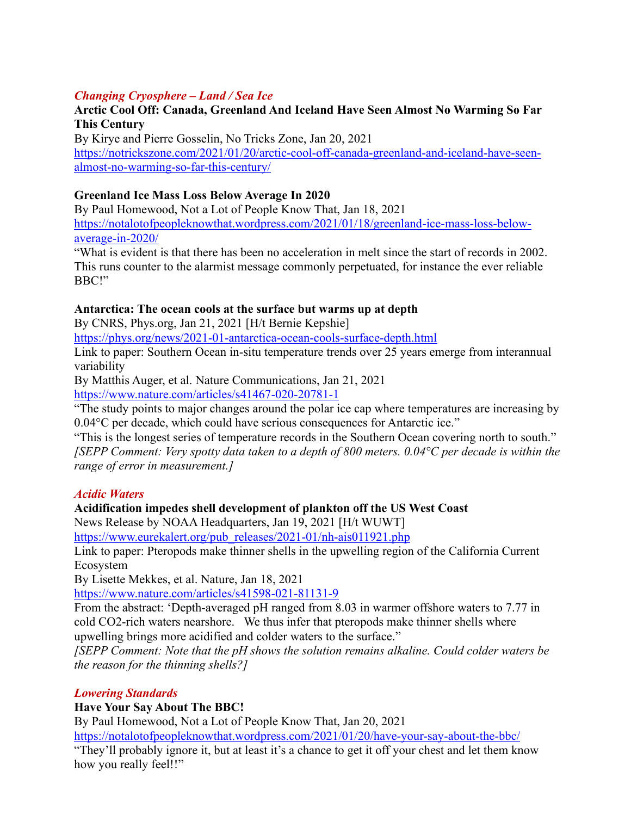### *Changing Cryosphere – Land / Sea Ice*

### **Arctic Cool Off: Canada, Greenland And Iceland Have Seen Almost No Warming So Far This Century**

By Kirye and Pierre Gosselin, No Tricks Zone, Jan 20, 2021 [https://notrickszone.com/2021/01/20/arctic-cool-off-canada-greenland-and-iceland-have-seen](https://notrickszone.com/2021/01/20/arctic-cool-off-canada-greenland-and-iceland-have-seen-almost-no-warming-so-far-this-century/)[almost-no-warming-so-far-this-century/](https://notrickszone.com/2021/01/20/arctic-cool-off-canada-greenland-and-iceland-have-seen-almost-no-warming-so-far-this-century/)

#### **Greenland Ice Mass Loss Below Average In 2020**

By Paul Homewood, Not a Lot of People Know That, Jan 18, 2021 [https://notalotofpeopleknowthat.wordpress.com/2021/01/18/greenland-ice-mass-loss-below](https://notalotofpeopleknowthat.wordpress.com/2021/01/18/greenland-ice-mass-loss-below-average-in-2020/)[average-in-2020/](https://notalotofpeopleknowthat.wordpress.com/2021/01/18/greenland-ice-mass-loss-below-average-in-2020/)

"What is evident is that there has been no acceleration in melt since the start of records in 2002. This runs counter to the alarmist message commonly perpetuated, for instance the ever reliable BBC!"

#### **Antarctica: The ocean cools at the surface but warms up at depth**

By CNRS, Phys.org, Jan 21, 2021 [H/t Bernie Kepshie]

<https://phys.org/news/2021-01-antarctica-ocean-cools-surface-depth.html>

Link to paper: Southern Ocean in-situ temperature trends over 25 years emerge from interannual variability

By Matthis Auger, et al. Nature Communications, Jan 21, 2021 <https://www.nature.com/articles/s41467-020-20781-1>

"The study points to major changes around the polar ice cap where temperatures are increasing by

0.04°C per decade, which could have serious consequences for Antarctic ice."

"This is the longest series of temperature records in the Southern Ocean covering north to south." *[SEPP Comment: Very spotty data taken to a depth of 800 meters. 0.04°C per decade is within the range of error in measurement.]*

#### *Acidic Waters*

#### **Acidification impedes shell development of plankton off the US West Coast**

News Release by NOAA Headquarters, Jan 19, 2021 [H/t WUWT]

[https://www.eurekalert.org/pub\\_releases/2021-01/nh-ais011921.php](https://www.eurekalert.org/pub_releases/2021-01/nh-ais011921.php)

Link to paper: Pteropods make thinner shells in the upwelling region of the California Current Ecosystem

By Lisette Mekkes, et al. Nature, Jan 18, 2021

<https://www.nature.com/articles/s41598-021-81131-9>

From the abstract: 'Depth-averaged pH ranged from 8.03 in warmer offshore waters to 7.77 in cold CO2-rich waters nearshore. We thus infer that pteropods make thinner shells where upwelling brings more acidified and colder waters to the surface."

*[SEPP Comment: Note that the pH shows the solution remains alkaline. Could colder waters be the reason for the thinning shells?]*

#### *Lowering Standards*

#### **Have Your Say About The BBC!**

By Paul Homewood, Not a Lot of People Know That, Jan 20, 2021

<https://notalotofpeopleknowthat.wordpress.com/2021/01/20/have-your-say-about-the-bbc/>

"They'll probably ignore it, but at least it's a chance to get it off your chest and let them know how you really feel!!"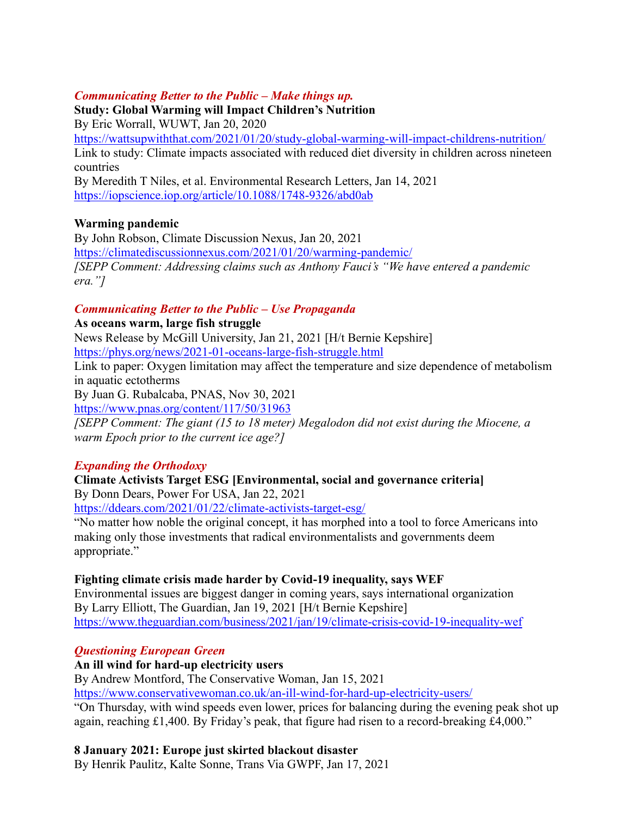### *Communicating Better to the Public – Make things up.*

**Study: Global Warming will Impact Children's Nutrition**

By Eric Worrall, WUWT, Jan 20, 2020

<https://wattsupwiththat.com/2021/01/20/study-global-warming-will-impact-childrens-nutrition/> Link to study: Climate impacts associated with reduced diet diversity in children across nineteen countries

By Meredith T Niles, et al. Environmental Research Letters, Jan 14, 2021 <https://iopscience.iop.org/article/10.1088/1748-9326/abd0ab>

### **Warming pandemic**

By John Robson, Climate Discussion Nexus, Jan 20, 2021 <https://climatediscussionnexus.com/2021/01/20/warming-pandemic/> *[SEPP Comment: Addressing claims such as Anthony Fauci's "We have entered a pandemic era."]*

### *Communicating Better to the Public – Use Propaganda*

**As oceans warm, large fish struggle**

News Release by McGill University, Jan 21, 2021 [H/t Bernie Kepshire] <https://phys.org/news/2021-01-oceans-large-fish-struggle.html>

Link to paper: Oxygen limitation may affect the temperature and size dependence of metabolism in aquatic ectotherms

By Juan G. Rubalcaba, PNAS, Nov 30, 2021

<https://www.pnas.org/content/117/50/31963>

*[SEPP Comment: The giant (15 to 18 meter) Megalodon did not exist during the Miocene, a warm Epoch prior to the current ice age?]*

#### *Expanding the Orthodoxy*

# **Climate Activists Target ESG [Environmental, social and governance criteria]**

By Donn Dears, Power For USA, Jan 22, 2021

<https://ddears.com/2021/01/22/climate-activists-target-esg/>

"No matter how noble the original concept, it has morphed into a tool to force Americans into making only those investments that radical environmentalists and governments deem appropriate."

#### **Fighting climate crisis made harder by Covid-19 inequality, says WEF**

Environmental issues are biggest danger in coming years, says international organization By Larry Elliott, The Guardian, Jan 19, 2021 [H/t Bernie Kepshire] <https://www.theguardian.com/business/2021/jan/19/climate-crisis-covid-19-inequality-wef>

### *Questioning European Green*

#### **An ill wind for hard-up electricity users**

By Andrew Montford, The Conservative Woman, Jan 15, 2021

<https://www.conservativewoman.co.uk/an-ill-wind-for-hard-up-electricity-users/>

"On Thursday, with wind speeds even lower, prices for balancing during the evening peak shot up again, reaching £1,400. By Friday's peak, that figure had risen to a record-breaking £4,000."

### **8 January 2021: Europe just skirted blackout disaster**

By Henrik Paulitz, Kalte Sonne, Trans Via GWPF, Jan 17, 2021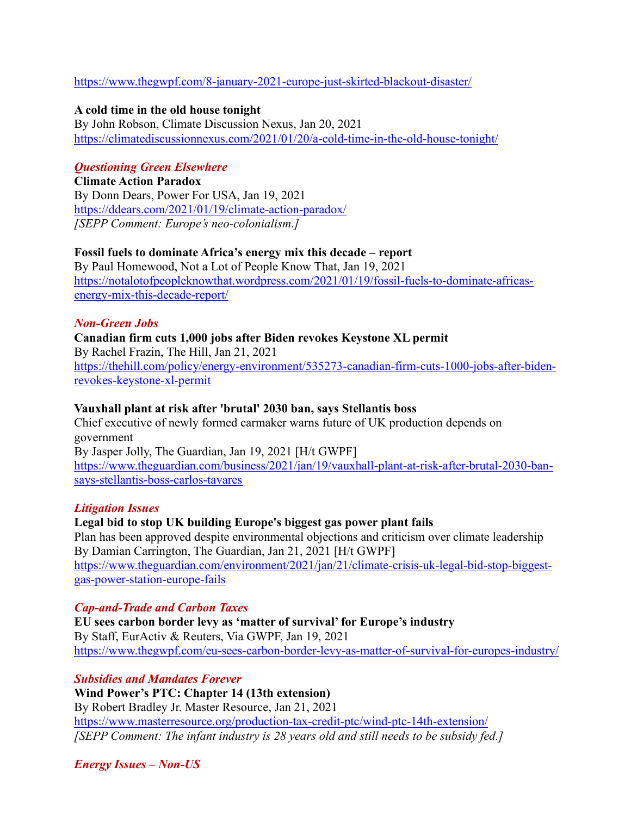<https://www.thegwpf.com/8-january-2021-europe-just-skirted-blackout-disaster/>

#### **A cold time in the old house tonight**

By John Robson, Climate Discussion Nexus, Jan 20, 2021 <https://climatediscussionnexus.com/2021/01/20/a-cold-time-in-the-old-house-tonight/>

#### *Questioning Green Elsewhere*

**Climate Action Paradox** By Donn Dears, Power For USA, Jan 19, 2021 <https://ddears.com/2021/01/19/climate-action-paradox/> *[SEPP Comment: Europe's neo-colonialism.]* 

#### **Fossil fuels to dominate Africa's energy mix this decade – report**

By Paul Homewood, Not a Lot of People Know That, Jan 19, 2021 [https://notalotofpeopleknowthat.wordpress.com/2021/01/19/fossil-fuels-to-dominate-africas](https://notalotofpeopleknowthat.wordpress.com/2021/01/19/fossil-fuels-to-dominate-africas-energy-mix-this-decade-report/)[energy-mix-this-decade-report/](https://notalotofpeopleknowthat.wordpress.com/2021/01/19/fossil-fuels-to-dominate-africas-energy-mix-this-decade-report/)

#### *Non-Green Jobs*

**Canadian firm cuts 1,000 jobs after Biden revokes Keystone XL permit** By Rachel Frazin, The Hill, Jan 21, 2021 [https://thehill.com/policy/energy-environment/535273-canadian-firm-cuts-1000-jobs-after-biden](https://thehill.com/policy/energy-environment/535273-canadian-firm-cuts-1000-jobs-after-biden-revokes-keystone-xl-permit)[revokes-keystone-xl-permit](https://thehill.com/policy/energy-environment/535273-canadian-firm-cuts-1000-jobs-after-biden-revokes-keystone-xl-permit)

#### **Vauxhall plant at risk after 'brutal' 2030 ban, says Stellantis boss**

Chief executive of newly formed carmaker warns future of UK production depends on government By Jasper Jolly, The Guardian, Jan 19, 2021 [H/t GWPF] [https://www.theguardian.com/business/2021/jan/19/vauxhall-plant-at-risk-after-brutal-2030-ban](https://www.theguardian.com/business/2021/jan/19/vauxhall-plant-at-risk-after-brutal-2030-ban-says-stellantis-boss-carlos-tavares)[says-stellantis-boss-carlos-tavares](https://www.theguardian.com/business/2021/jan/19/vauxhall-plant-at-risk-after-brutal-2030-ban-says-stellantis-boss-carlos-tavares)

#### *Litigation Issues*

#### **Legal bid to stop UK building Europe's biggest gas power plant fails**

Plan has been approved despite environmental objections and criticism over climate leadership By Damian Carrington, The Guardian, Jan 21, 2021 [H/t GWPF] [https://www.theguardian.com/environment/2021/jan/21/climate-crisis-uk-legal-bid-stop-biggest](https://www.theguardian.com/environment/2021/jan/21/climate-crisis-uk-legal-bid-stop-biggest-gas-power-station-europe-fails)[gas-power-station-europe-fails](https://www.theguardian.com/environment/2021/jan/21/climate-crisis-uk-legal-bid-stop-biggest-gas-power-station-europe-fails)

#### *Cap-and-Trade and Carbon Taxes*

**EU sees carbon border levy as 'matter of survival' for Europe's industry** By Staff, EurActiv & Reuters, Via GWPF, Jan 19, 2021 <https://www.thegwpf.com/eu-sees-carbon-border-levy-as-matter-of-survival-for-europes-industry/>

*Subsidies and Mandates Forever* **Wind Power's PTC: Chapter 14 (13th extension)** By Robert Bradley Jr. Master Resource, Jan 21, 2021 <https://www.masterresource.org/production-tax-credit-ptc/wind-ptc-14th-extension/> *[SEPP Comment: The infant industry is 28 years old and still needs to be subsidy fed.]*

*Energy Issues – Non-US*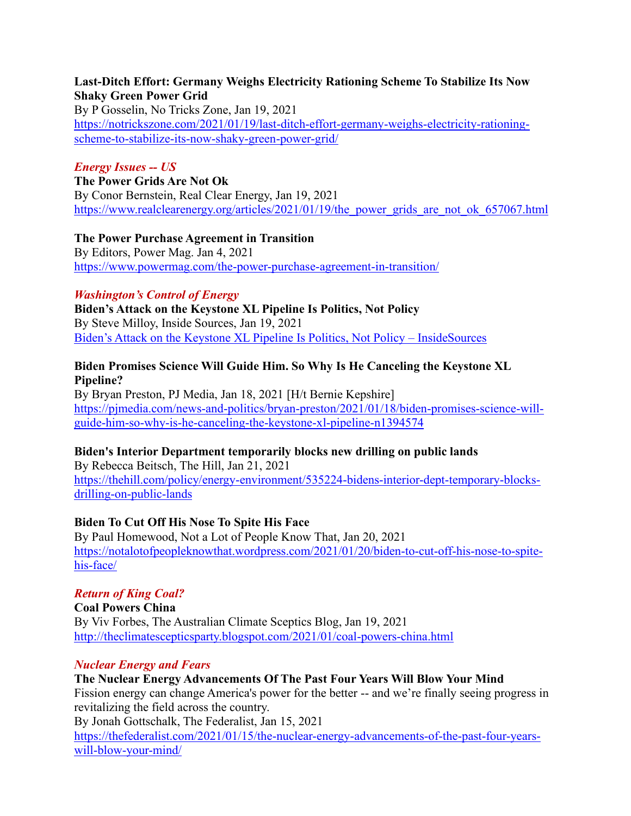#### **Last-Ditch Effort: Germany Weighs Electricity Rationing Scheme To Stabilize Its Now Shaky Green Power Grid**

By P Gosselin, No Tricks Zone, Jan 19, 2021 [https://notrickszone.com/2021/01/19/last-ditch-effort-germany-weighs-electricity-rationing](https://notrickszone.com/2021/01/19/last-ditch-effort-germany-weighs-electricity-rationing-scheme-to-stabilize-its-now-shaky-green-power-grid/)[scheme-to-stabilize-its-now-shaky-green-power-grid/](https://notrickszone.com/2021/01/19/last-ditch-effort-germany-weighs-electricity-rationing-scheme-to-stabilize-its-now-shaky-green-power-grid/)

### *Energy Issues -- US*

**The Power Grids Are Not Ok**

By Conor Bernstein, Real Clear Energy, Jan 19, 2021 https://www.realclearenergy.org/articles/2021/01/19/the power\_grids\_are\_not\_ok\_657067.html

**The Power Purchase Agreement in Transition** By Editors, Power Mag. Jan 4, 2021 <https://www.powermag.com/the-power-purchase-agreement-in-transition/>

#### *Washington's Control of Energy*

**Biden's Attack on the Keystone XL Pipeline Is Politics, Not Policy** By Steve Milloy, Inside Sources, Jan 19, 2021 [Biden's Attack on the Keystone XL Pipeline Is Politics, Not Policy –](https://www.insidesources.com/bidens-attack-on-the-keystone-xl-pipeline-is-politics-not-policy/) InsideSources

#### **Biden Promises Science Will Guide Him. So Why Is He Canceling the Keystone XL Pipeline?**

By Bryan Preston, PJ Media, Jan 18, 2021 [H/t Bernie Kepshire] [https://pjmedia.com/news-and-politics/bryan-preston/2021/01/18/biden-promises-science-will](https://pjmedia.com/news-and-politics/bryan-preston/2021/01/18/biden-promises-science-will-guide-him-so-why-is-he-canceling-the-keystone-xl-pipeline-n1394574)[guide-him-so-why-is-he-canceling-the-keystone-xl-pipeline-n1394574](https://pjmedia.com/news-and-politics/bryan-preston/2021/01/18/biden-promises-science-will-guide-him-so-why-is-he-canceling-the-keystone-xl-pipeline-n1394574)

#### **Biden's Interior Department temporarily blocks new drilling on public lands**

By Rebecca Beitsch, The Hill, Jan 21, 2021 [https://thehill.com/policy/energy-environment/535224-bidens-interior-dept-temporary-blocks](https://thehill.com/policy/energy-environment/535224-bidens-interior-dept-temporary-blocks-drilling-on-public-lands)[drilling-on-public-lands](https://thehill.com/policy/energy-environment/535224-bidens-interior-dept-temporary-blocks-drilling-on-public-lands)

### **Biden To Cut Off His Nose To Spite His Face**

By Paul Homewood, Not a Lot of People Know That, Jan 20, 2021 [https://notalotofpeopleknowthat.wordpress.com/2021/01/20/biden-to-cut-off-his-nose-to-spite](https://notalotofpeopleknowthat.wordpress.com/2021/01/20/biden-to-cut-off-his-nose-to-spite-his-face/)[his-face/](https://notalotofpeopleknowthat.wordpress.com/2021/01/20/biden-to-cut-off-his-nose-to-spite-his-face/)

### *Return of King Coal?*

**Coal Powers China** By Viv Forbes, The Australian Climate Sceptics Blog, Jan 19, 2021 <http://theclimatescepticsparty.blogspot.com/2021/01/coal-powers-china.html>

#### *Nuclear Energy and Fears*

#### **The Nuclear Energy Advancements Of The Past Four Years Will Blow Your Mind**

Fission energy can change America's power for the better -- and we're finally seeing progress in revitalizing the field across the country.

By Jonah Gottschalk, The Federalist, Jan 15, 2021

[https://thefederalist.com/2021/01/15/the-nuclear-energy-advancements-of-the-past-four-years](https://thefederalist.com/2021/01/15/the-nuclear-energy-advancements-of-the-past-four-years-will-blow-your-mind/)[will-blow-your-mind/](https://thefederalist.com/2021/01/15/the-nuclear-energy-advancements-of-the-past-four-years-will-blow-your-mind/)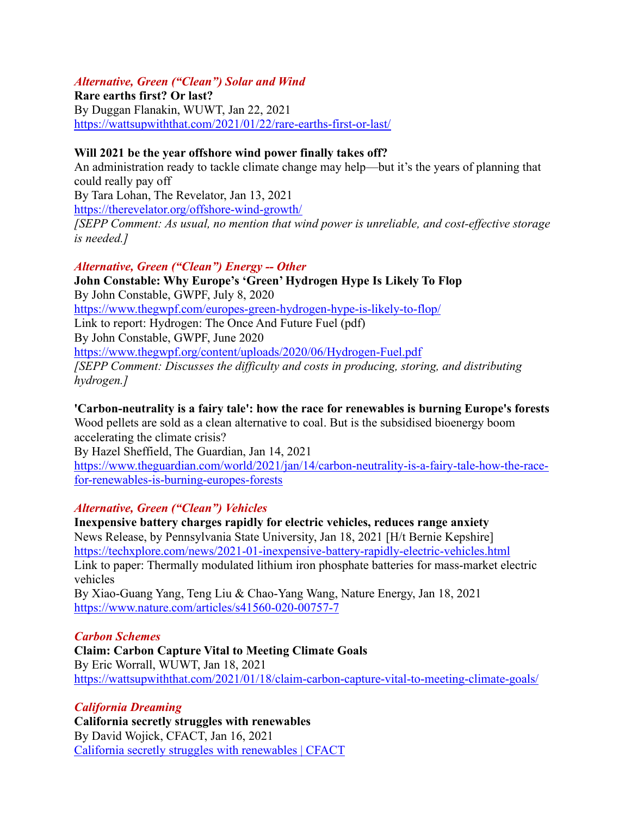#### *Alternative, Green ("Clean") Solar and Wind*

**Rare earths first? Or last?** By Duggan Flanakin, WUWT, Jan 22, 2021 <https://wattsupwiththat.com/2021/01/22/rare-earths-first-or-last/>

#### **Will 2021 be the year offshore wind power finally takes off?**

An administration ready to tackle climate change may help—but it's the years of planning that could really pay off By Tara Lohan, The Revelator, Jan 13, 2021 <https://therevelator.org/offshore-wind-growth/> *[SEPP Comment: As usual, no mention that wind power is unreliable, and cost-effective storage is needed.]*

#### *Alternative, Green ("Clean") Energy -- Other*

**John Constable: Why Europe's 'Green' Hydrogen Hype Is Likely To Flop** By John Constable, GWPF, July 8, 2020 <https://www.thegwpf.com/europes-green-hydrogen-hype-is-likely-to-flop/> Link to report: Hydrogen: The Once And Future Fuel (pdf) By John Constable, GWPF, June 2020 <https://www.thegwpf.org/content/uploads/2020/06/Hydrogen-Fuel.pdf> *[SEPP Comment: Discusses the difficulty and costs in producing, storing, and distributing hydrogen.]*

#### **'Carbon-neutrality is a fairy tale': how the race for renewables is burning Europe's forests**

Wood pellets are sold as a clean alternative to coal. But is the subsidised bioenergy boom accelerating the climate crisis?

By Hazel Sheffield, The Guardian, Jan 14, 2021 [https://www.theguardian.com/world/2021/jan/14/carbon-neutrality-is-a-fairy-tale-how-the-race](https://www.theguardian.com/world/2021/jan/14/carbon-neutrality-is-a-fairy-tale-how-the-race-for-renewables-is-burning-europes-forests)[for-renewables-is-burning-europes-forests](https://www.theguardian.com/world/2021/jan/14/carbon-neutrality-is-a-fairy-tale-how-the-race-for-renewables-is-burning-europes-forests)

#### *Alternative, Green ("Clean") Vehicles*

**Inexpensive battery charges rapidly for electric vehicles, reduces range anxiety** News Release, by Pennsylvania State University, Jan 18, 2021 [H/t Bernie Kepshire] <https://techxplore.com/news/2021-01-inexpensive-battery-rapidly-electric-vehicles.html> Link to paper: Thermally modulated lithium iron phosphate batteries for mass-market electric vehicles By Xiao-Guang Yang, Teng Liu & Chao-Yang Wang, Nature Energy, Jan 18, 2021 <https://www.nature.com/articles/s41560-020-00757-7>

#### *Carbon Schemes*

**Claim: Carbon Capture Vital to Meeting Climate Goals** By Eric Worrall, WUWT, Jan 18, 2021 <https://wattsupwiththat.com/2021/01/18/claim-carbon-capture-vital-to-meeting-climate-goals/>

#### *California Dreaming*

**California secretly struggles with renewables** By David Wojick, CFACT, Jan 16, 2021 [California secretly struggles](https://www.cfact.org/2021/01/16/california-secretly-struggles-with-renewables/) with renewables | CFACT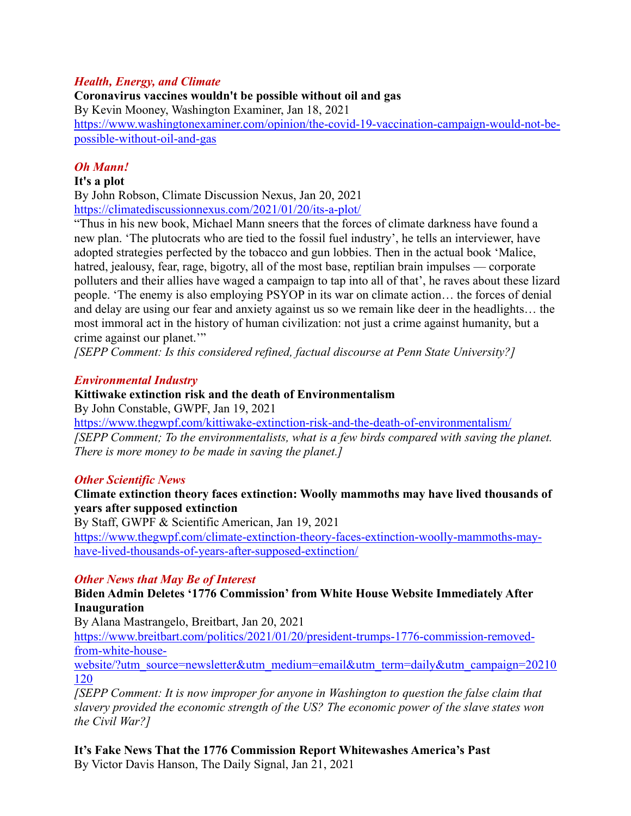#### *Health, Energy, and Climate*

**Coronavirus vaccines wouldn't be possible without oil and gas** By Kevin Mooney, Washington Examiner, Jan 18, 2021 [https://www.washingtonexaminer.com/opinion/the-covid-19-vaccination-campaign-would-not-be](https://www.washingtonexaminer.com/opinion/the-covid-19-vaccination-campaign-would-not-be-possible-without-oil-and-gas)[possible-without-oil-and-gas](https://www.washingtonexaminer.com/opinion/the-covid-19-vaccination-campaign-would-not-be-possible-without-oil-and-gas)

### *Oh Mann!*

### **It's a plot**

By John Robson, Climate Discussion Nexus, Jan 20, 2021 <https://climatediscussionnexus.com/2021/01/20/its-a-plot/>

"Thus in his new book, Michael Mann sneers that the forces of climate darkness have found a new plan. 'The plutocrats who are tied to the fossil fuel industry', he tells an interviewer, have adopted strategies perfected by the tobacco and gun lobbies. Then in the actual book 'Malice, hatred, jealousy, fear, rage, bigotry, all of the most base, reptilian brain impulses — corporate polluters and their allies have waged a campaign to tap into all of that', he raves about these lizard people. 'The enemy is also employing PSYOP in its war on climate action… the forces of denial and delay are using our fear and anxiety against us so we remain like deer in the headlights… the most immoral act in the history of human civilization: not just a crime against humanity, but a crime against our planet.'"

*[SEPP Comment: Is this considered refined, factual discourse at Penn State University?]*

#### *Environmental Industry*

### **Kittiwake extinction risk and the death of Environmentalism**

By John Constable, GWPF, Jan 19, 2021

<https://www.thegwpf.com/kittiwake-extinction-risk-and-the-death-of-environmentalism/> *[SEPP Comment; To the environmentalists, what is a few birds compared with saving the planet. There is more money to be made in saving the planet.]*

### *Other Scientific News*

#### **Climate extinction theory faces extinction: Woolly mammoths may have lived thousands of years after supposed extinction**

By Staff, GWPF & Scientific American, Jan 19, 2021

[https://www.thegwpf.com/climate-extinction-theory-faces-extinction-woolly-mammoths-may](https://www.thegwpf.com/climate-extinction-theory-faces-extinction-woolly-mammoths-may-have-lived-thousands-of-years-after-supposed-extinction/)[have-lived-thousands-of-years-after-supposed-extinction/](https://www.thegwpf.com/climate-extinction-theory-faces-extinction-woolly-mammoths-may-have-lived-thousands-of-years-after-supposed-extinction/)

### *Other News that May Be of Interest*

### **Biden Admin Deletes '1776 Commission' from White House Website Immediately After Inauguration**

By Alana Mastrangelo, Breitbart, Jan 20, 2021

[https://www.breitbart.com/politics/2021/01/20/president-trumps-1776-commission-removed](https://www.breitbart.com/politics/2021/01/20/president-trumps-1776-commission-removed-from-white-house-website/?utm_source=newsletter&utm_medium=email&utm_term=daily&utm_campaign=20210120)[from-white-house-](https://www.breitbart.com/politics/2021/01/20/president-trumps-1776-commission-removed-from-white-house-website/?utm_source=newsletter&utm_medium=email&utm_term=daily&utm_campaign=20210120)

[website/?utm\\_source=newsletter&utm\\_medium=email&utm\\_term=daily&utm\\_campaign=20210](https://www.breitbart.com/politics/2021/01/20/president-trumps-1776-commission-removed-from-white-house-website/?utm_source=newsletter&utm_medium=email&utm_term=daily&utm_campaign=20210120) [120](https://www.breitbart.com/politics/2021/01/20/president-trumps-1776-commission-removed-from-white-house-website/?utm_source=newsletter&utm_medium=email&utm_term=daily&utm_campaign=20210120)

*[SEPP Comment: It is now improper for anyone in Washington to question the false claim that slavery provided the economic strength of the US? The economic power of the slave states won the Civil War?]*

**It's Fake News That the 1776 Commission Report Whitewashes America's Past** By Victor Davis Hanson, The Daily Signal, Jan 21, 2021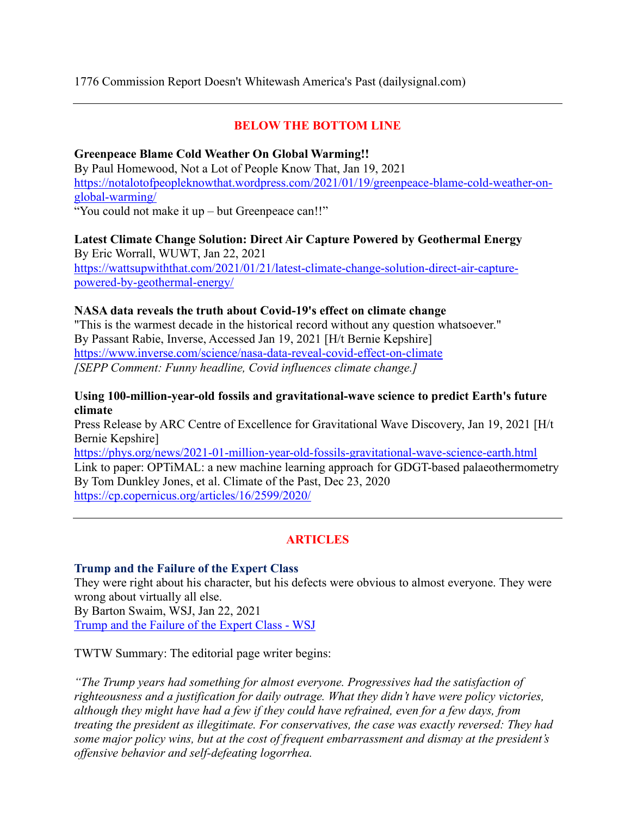#### 1776 Commission Report Doesn't Whitewash America's Past (dailysignal.com)

### **BELOW THE BOTTOM LINE**

#### **Greenpeace Blame Cold Weather On Global Warming!!**

By Paul Homewood, Not a Lot of People Know That, Jan 19, 2021 [https://notalotofpeopleknowthat.wordpress.com/2021/01/19/greenpeace-blame-cold-weather-on](https://notalotofpeopleknowthat.wordpress.com/2021/01/19/greenpeace-blame-cold-weather-on-global-warming/)[global-warming/](https://notalotofpeopleknowthat.wordpress.com/2021/01/19/greenpeace-blame-cold-weather-on-global-warming/)

"You could not make it up – but Greenpeace can!!"

# **Latest Climate Change Solution: Direct Air Capture Powered by Geothermal Energy** By Eric Worrall, WUWT, Jan 22, 2021 [https://wattsupwiththat.com/2021/01/21/latest-climate-change-solution-direct-air-capture-](https://wattsupwiththat.com/2021/01/21/latest-climate-change-solution-direct-air-capture-powered-by-geothermal-energy/)

[powered-by-geothermal-energy/](https://wattsupwiththat.com/2021/01/21/latest-climate-change-solution-direct-air-capture-powered-by-geothermal-energy/)

#### **NASA data reveals the truth about Covid-19's effect on climate change**

"This is the warmest decade in the historical record without any question whatsoever." By Passant Rabie, Inverse, Accessed Jan 19, 2021 [H/t Bernie Kepshire] <https://www.inverse.com/science/nasa-data-reveal-covid-effect-on-climate> *[SEPP Comment: Funny headline, Covid influences climate change.]*

#### **Using 100-million-year-old fossils and gravitational-wave science to predict Earth's future climate**

Press Release by ARC Centre of Excellence for Gravitational Wave Discovery, Jan 19, 2021 [H/t Bernie Kepshire]

<https://phys.org/news/2021-01-million-year-old-fossils-gravitational-wave-science-earth.html> Link to paper: OPTiMAL: a new machine learning approach for GDGT-based palaeothermometry By Tom Dunkley Jones, et al. Climate of the Past, Dec 23, 2020 <https://cp.copernicus.org/articles/16/2599/2020/>

### **ARTICLES**

#### **Trump and the Failure of the Expert Class**

They were right about his character, but his defects were obvious to almost everyone. They were wrong about virtually all else.

By Barton Swaim, WSJ, Jan 22, 2021 [Trump and the Failure of the Expert Class -](https://www.wsj.com/articles/trump-and-the-failure-of-the-expert-class-11611341116?mod=hp_opin_pos_2) WSJ

TWTW Summary: The editorial page writer begins:

*"The Trump years had something for almost everyone. Progressives had the satisfaction of righteousness and a justification for daily outrage. What they didn't have were policy victories, although they might have had a few if they could have refrained, even for a few days, from treating the president as illegitimate. For conservatives, the case was exactly reversed: They had some major policy wins, but at the cost of frequent embarrassment and dismay at the president's offensive behavior and self-defeating logorrhea.*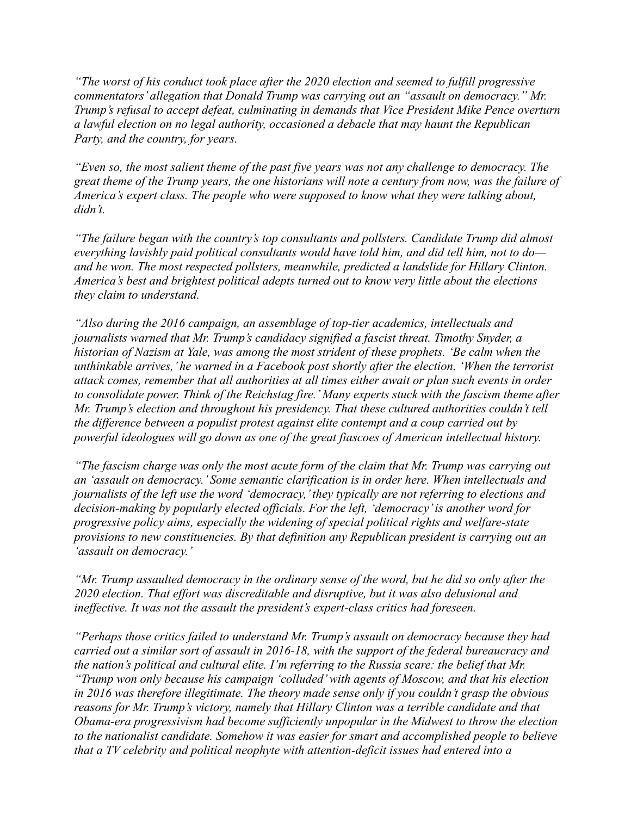*"The worst of his conduct took place after the 2020 election and seemed to fulfill progressive commentators' allegation that Donald Trump was carrying out an "assault on democracy." Mr. Trump's refusal to accept defeat, culminating in demands that Vice President Mike Pence overturn a lawful election on no legal authority, occasioned a debacle that may haunt the Republican Party, and the country, for years.*

*"Even so, the most salient theme of the past five years was not any challenge to democracy. The great theme of the Trump years, the one historians will note a century from now, was the failure of America's expert class. The people who were supposed to know what they were talking about, didn't.* 

*"The failure began with the country's top consultants and pollsters. Candidate Trump did almost everything lavishly paid political consultants would have told him, and did tell him, not to do and he won. The most respected pollsters, meanwhile, predicted a landslide for Hillary Clinton. America's best and brightest political adepts turned out to know very little about the elections they claim to understand.*

*"Also during the 2016 campaign, an assemblage of top-tier academics, intellectuals and journalists warned that Mr. Trump's candidacy signified a fascist threat. Timothy Snyder, a historian of Nazism at Yale, was among the most strident of these prophets. 'Be calm when the unthinkable arrives,' he warned in a Facebook post shortly after the election. 'When the terrorist attack comes, remember that all authorities at all times either await or plan such events in order to consolidate power. Think of the Reichstag fire.' Many experts stuck with the fascism theme after Mr. Trump's election and throughout his presidency. That these cultured authorities couldn't tell the difference between a populist protest against elite contempt and a coup carried out by powerful ideologues will go down as one of the great fiascoes of American intellectual history.* 

*"The fascism charge was only the most acute form of the claim that Mr. Trump was carrying out an 'assault on democracy.' Some semantic clarification is in order here. When intellectuals and journalists of the left use the word 'democracy,'they typically are not referring to elections and decision-making by popularly elected officials. For the left, 'democracy'is another word for progressive policy aims, especially the widening of special political rights and welfare-state provisions to new constituencies. By that definition any Republican president is carrying out an 'assault on democracy.'*

*"Mr. Trump assaulted democracy in the ordinary sense of the word, but he did so only after the 2020 election. That effort was discreditable and disruptive, but it was also delusional and ineffective. It was not the assault the president's expert-class critics had foreseen.*

*"Perhaps those critics failed to understand Mr. Trump's assault on democracy because they had carried out a similar sort of assault in 2016-18, with the support of the federal bureaucracy and the nation's political and cultural elite. I'm referring to the Russia scare: the belief that Mr. "Trump won only because his campaign 'colluded'with agents of Moscow, and that his election in 2016 was therefore illegitimate. The theory made sense only if you couldn't grasp the obvious reasons for Mr. Trump's victory, namely that Hillary Clinton was a terrible candidate and that Obama-era progressivism had become sufficiently unpopular in the Midwest to throw the election to the nationalist candidate. Somehow it was easier for smart and accomplished people to believe that a TV celebrity and political neophyte with attention-deficit issues had entered into a*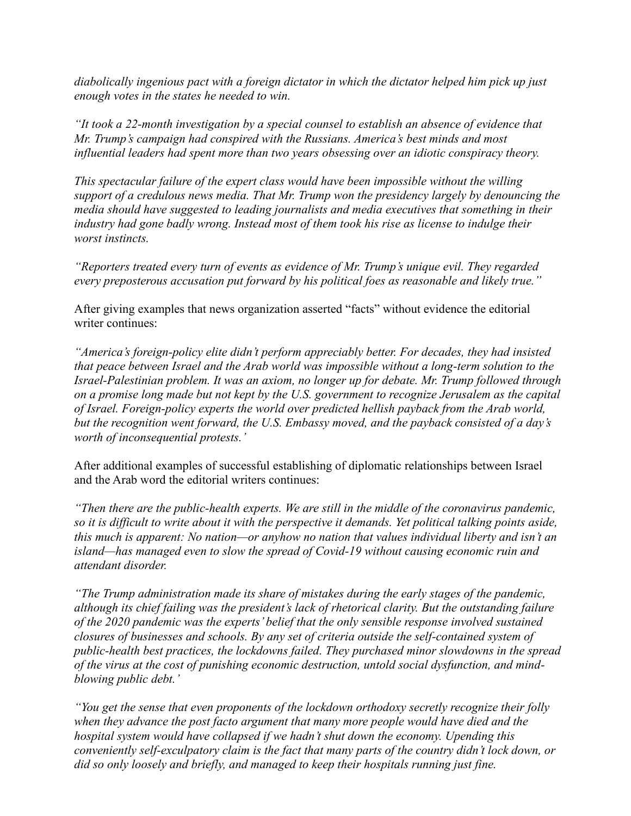*diabolically ingenious pact with a foreign dictator in which the dictator helped him pick up just enough votes in the states he needed to win.*

*"It took a 22-month investigation by a special counsel to establish an absence of evidence that Mr. Trump's campaign had conspired with the Russians. America's best minds and most influential leaders had spent more than two years obsessing over an idiotic conspiracy theory.*

*This spectacular failure of the expert class would have been impossible without the willing support of a credulous news media. That Mr. Trump won the presidency largely by denouncing the media should have suggested to leading journalists and media executives that something in their industry had gone badly wrong. Instead most of them took his rise as license to indulge their worst instincts.* 

*"Reporters treated every turn of events as evidence of Mr. Trump's unique evil. They regarded every preposterous accusation put forward by his political foes as reasonable and likely true."*

After giving examples that news organization asserted "facts" without evidence the editorial writer continues:

*"America's foreign-policy elite didn't perform appreciably better. For decades, they had insisted that peace between Israel and the Arab world was impossible without a long-term solution to the Israel-Palestinian problem. It was an axiom, no longer up for debate. Mr. Trump followed through on a promise long made but not kept by the U.S. government to recognize Jerusalem as the capital of Israel. Foreign-policy experts the world over predicted hellish payback from the Arab world, but the recognition went forward, the U.S. Embassy moved, and the payback consisted of a day's worth of inconsequential protests.'*

After additional examples of successful establishing of diplomatic relationships between Israel and the Arab word the editorial writers continues:

*"Then there are the public-health experts. We are still in the middle of the coronavirus pandemic, so it is difficult to write about it with the perspective it demands. Yet political talking points aside, this much is apparent: No nation—or anyhow no nation that values individual liberty and isn't an island—has managed even to slow the spread of Covid-19 without causing economic ruin and attendant disorder.*

*"The Trump administration made its share of mistakes during the early stages of the pandemic, although its chief failing was the president's lack of rhetorical clarity. But the outstanding failure of the 2020 pandemic was the experts' belief that the only sensible response involved sustained closures of businesses and schools. By any set of criteria outside the self-contained system of public-health best practices, the lockdowns failed. They purchased minor slowdowns in the spread of the virus at the cost of punishing economic destruction, untold social dysfunction, and mindblowing public debt.'*

*"You get the sense that even proponents of the lockdown orthodoxy secretly recognize their folly when they advance the post facto argument that many more people would have died and the hospital system would have collapsed if we hadn't shut down the economy. Upending this conveniently self-exculpatory claim is the fact that many parts of the country didn't lock down, or did so only loosely and briefly, and managed to keep their hospitals running just fine.*